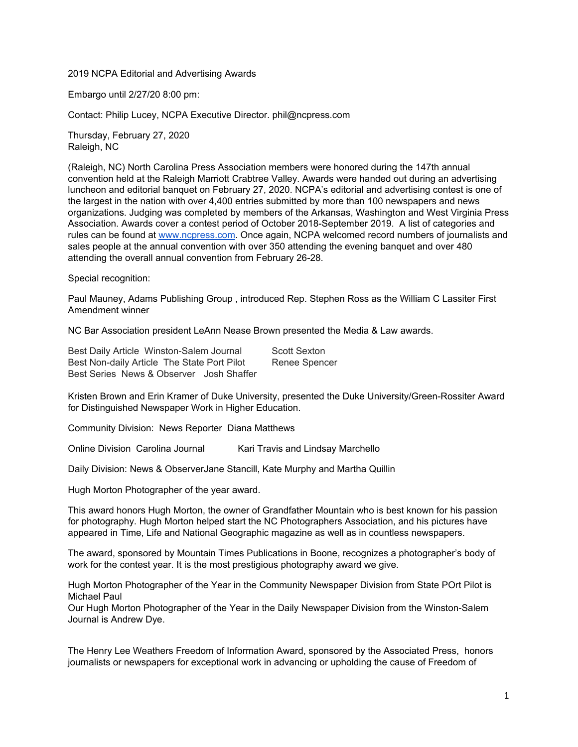2019 NCPA Editorial and Advertising Awards

Embargo until 2/27/20 8:00 pm:

Contact: Philip Lucey, NCPA Executive Director. phil@ncpress.com

Thursday, February 27, 2020 Raleigh, NC

(Raleigh, NC) North Carolina Press Association members were honored during the 147th annual convention held at the Raleigh Marriott Crabtree Valley. Awards were handed out during an advertising luncheon and editorial banquet on February 27, 2020. NCPA's editorial and advertising contest is one of the largest in the nation with over 4,400 entries submitted by more than 100 newspapers and news organizations. Judging was completed by members of the Arkansas, Washington and West Virginia Press Association. Awards cover a contest period of October 2018-September 2019. A list of categories and rules can be found at [www.ncpress.com](http://www.ncpress.com/). Once again, NCPA welcomed record numbers of journalists and sales people at the annual convention with over 350 attending the evening banquet and over 480 attending the overall annual convention from February 26-28.

Special recognition:

Paul Mauney, Adams Publishing Group , introduced Rep. Stephen Ross as the William C Lassiter First Amendment winner

NC Bar Association president LeAnn Nease Brown presented the Media & Law awards.

Best Daily Article Winston-Salem Journal Scott Sexton Best Non-daily Article The State Port Pilot Renee Spencer Best Series News & Observer Josh Shaffer

Kristen Brown and Erin Kramer of Duke University, presented the Duke University/Green-Rossiter Award for Distinguished Newspaper Work in Higher Education.

Community Division: News Reporter Diana Matthews

Online Division Carolina Journal Kari Travis and Lindsay Marchello

Daily Division: News & ObserverJane Stancill, Kate Murphy and Martha Quillin

Hugh Morton Photographer of the year award.

This award honors Hugh Morton, the owner of Grandfather Mountain who is best known for his passion for photography. Hugh Morton helped start the NC Photographers Association, and his pictures have appeared in Time, Life and National Geographic magazine as well as in countless newspapers.

The award, sponsored by Mountain Times Publications in Boone, recognizes a photographer's body of work for the contest year. It is the most prestigious photography award we give.

Hugh Morton Photographer of the Year in the Community Newspaper Division from State POrt Pilot is Michael Paul

Our Hugh Morton Photographer of the Year in the Daily Newspaper Division from the Winston-Salem Journal is Andrew Dye.

The Henry Lee Weathers Freedom of Information Award, sponsored by the Associated Press, honors journalists or newspapers for exceptional work in advancing or upholding the cause of Freedom of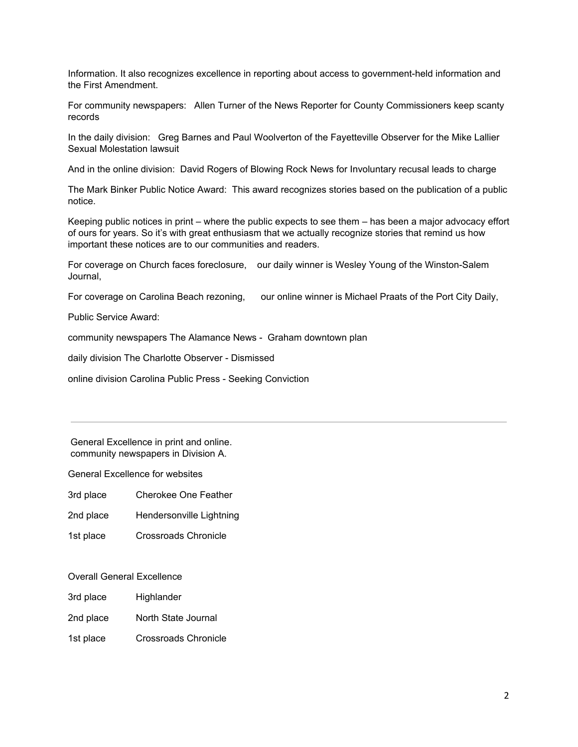Information. It also recognizes excellence in reporting about access to government-held information and the First Amendment.

For community newspapers: Allen Turner of the News Reporter for County Commissioners keep scanty records

In the daily division: Greg Barnes and Paul Woolverton of the Fayetteville Observer for the Mike Lallier Sexual Molestation lawsuit

And in the online division: David Rogers of Blowing Rock News for Involuntary recusal leads to charge

The Mark Binker Public Notice Award: This award recognizes stories based on the publication of a public notice.

Keeping public notices in print – where the public expects to see them – has been a major advocacy effort of ours for years. So it's with great enthusiasm that we actually recognize stories that remind us how important these notices are to our communities and readers.

For coverage on Church faces foreclosure, our daily winner is Wesley Young of the Winston-Salem Journal,

For coverage on Carolina Beach rezoning, our online winner is Michael Praats of the Port City Daily,

Public Service Award:

community newspapers The Alamance News - Graham downtown plan

daily division The Charlotte Observer - Dismissed

online division Carolina Public Press - Seeking Conviction

General Excellence in print and online. community newspapers in Division A.

General Excellence for websites

3rd place Cherokee One Feather

- 2nd place Hendersonville Lightning
- 1st place Crossroads Chronicle

### Overall General Excellence

- 3rd place Highlander
- 2nd place North State Journal
- 1st place Crossroads Chronicle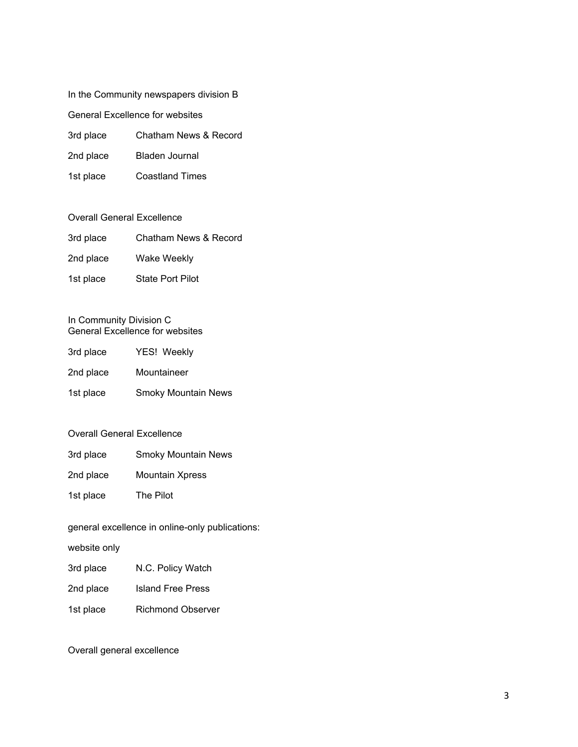### In the Community newspapers division B

General Excellence for websites

- 3rd place Chatham News & Record
- 2nd place Bladen Journal
- 1st place Coastland Times

### Overall General Excellence

- 3rd place Chatham News & Record
- 2nd place Wake Weekly
- 1st place State Port Pilot

#### In Community Division C General Excellence for websites

| 3rd place | YES! Weekly                |
|-----------|----------------------------|
| 2nd place | Mountaineer                |
| 1st place | <b>Smoky Mountain News</b> |

### Overall General Excellence

- 3rd place Smoky Mountain News
- 2nd place Mountain Xpress
- 1st place The Pilot

## general excellence in online-only publications:

website only

- 3rd place N.C. Policy Watch
- 2nd place Island Free Press
- 1st place Richmond Observer

## Overall general excellence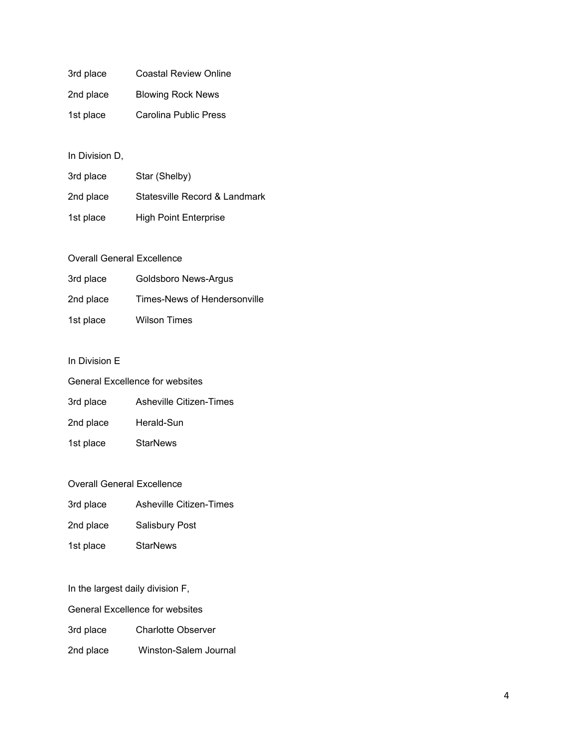| 3rd place | <b>Coastal Review Online</b> |
|-----------|------------------------------|
| 2nd place | <b>Blowing Rock News</b>     |
| 1st place | Carolina Public Press        |

## In Division D,

| 3rd place | Star (Shelby)                 |
|-----------|-------------------------------|
| 2nd place | Statesville Record & Landmark |
| 1st place | <b>High Point Enterprise</b>  |

## Overall General Excellence

| 3rd place | Goldsboro News-Argus         |
|-----------|------------------------------|
| 2nd place | Times-News of Hendersonville |
| 1st place | <b>Wilson Times</b>          |

## In Division E

| <b>General Excellence for websites</b> |                         |  |
|----------------------------------------|-------------------------|--|
| 3rd place                              | Asheville Citizen-Times |  |
| 2nd place                              | Herald-Sun              |  |
| 1st place                              | <b>StarNews</b>         |  |
|                                        |                         |  |

# Overall General Excellence

| 3rd place | Asheville Citizen-Times |
|-----------|-------------------------|
|-----------|-------------------------|

- 2nd place Salisbury Post
- 1st place StarNews

In the largest daily division F,

General Excellence for websites

3rd place Charlotte Observer

2nd place Winston-Salem Journal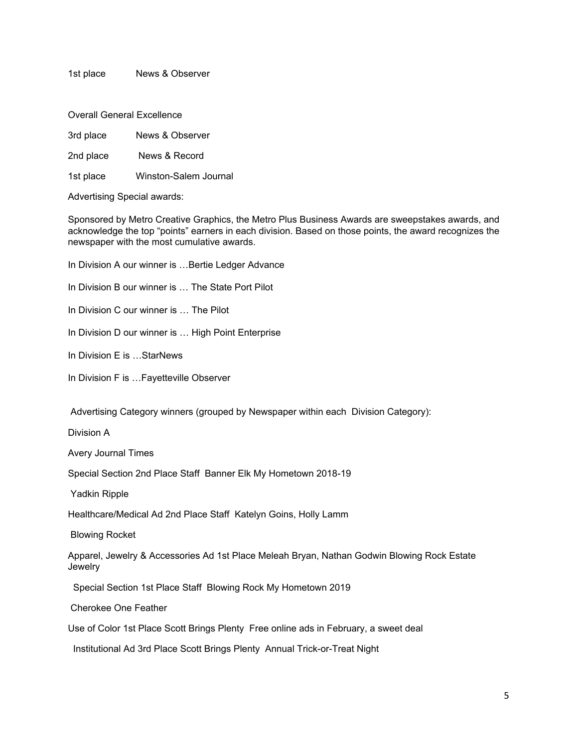1st place News & Observer

Overall General Excellence

3rd place News & Observer

2nd place News & Record

1st place Winston-Salem Journal

Advertising Special awards:

Sponsored by Metro Creative Graphics, the Metro Plus Business Awards are sweepstakes awards, and acknowledge the top "points" earners in each division. Based on those points, the award recognizes the newspaper with the most cumulative awards.

In Division A our winner is ... Bertie Ledger Advance

In Division B our winner is … The State Port Pilot

In Division C our winner is … The Pilot

In Division D our winner is ... High Point Enterprise

In Division E is …StarNews

In Division F is …Fayetteville Observer

Advertising Category winners (grouped by Newspaper within each Division Category):

Division A

Avery Journal Times

Special Section 2nd Place Staff Banner Elk My Hometown 2018-19

Yadkin Ripple

Healthcare/Medical Ad 2nd Place Staff Katelyn Goins, Holly Lamm

Blowing Rocket

Apparel, Jewelry & Accessories Ad 1st Place Meleah Bryan, Nathan Godwin Blowing Rock Estate **Jewelry** 

Special Section 1st Place Staff Blowing Rock My Hometown 2019

Cherokee One Feather

Use of Color 1st Place Scott Brings Plenty Free online ads in February, a sweet deal

Institutional Ad 3rd Place Scott Brings Plenty Annual Trick-or-Treat Night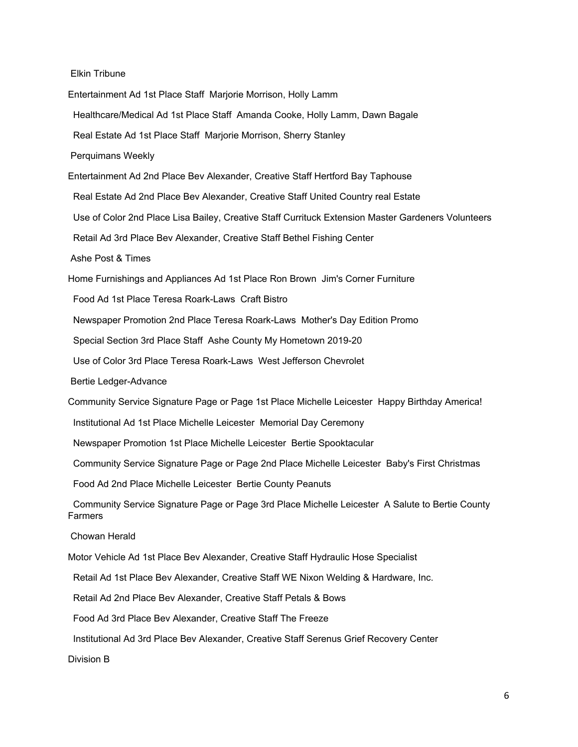Elkin Tribune

Entertainment Ad 1st Place Staff Marjorie Morrison, Holly Lamm Healthcare/Medical Ad 1st Place Staff Amanda Cooke, Holly Lamm, Dawn Bagale Real Estate Ad 1st Place Staff Marjorie Morrison, Sherry Stanley Perquimans Weekly Entertainment Ad 2nd Place Bev Alexander, Creative Staff Hertford Bay Taphouse Real Estate Ad 2nd Place Bev Alexander, Creative Staff United Country real Estate Use of Color 2nd Place Lisa Bailey, Creative Staff Currituck Extension Master Gardeners Volunteers Retail Ad 3rd Place Bev Alexander, Creative Staff Bethel Fishing Center Ashe Post & Times Home Furnishings and Appliances Ad 1st Place Ron Brown Jim's Corner Furniture Food Ad 1st Place Teresa Roark-Laws Craft Bistro Newspaper Promotion 2nd Place Teresa Roark-Laws Mother's Day Edition Promo Special Section 3rd Place Staff Ashe County My Hometown 2019-20 Use of Color 3rd Place Teresa Roark-Laws West Jefferson Chevrolet Bertie Ledger-Advance Community Service Signature Page or Page 1st Place Michelle Leicester Happy Birthday America! Institutional Ad 1st Place Michelle Leicester Memorial Day Ceremony Newspaper Promotion 1st Place Michelle Leicester Bertie Spooktacular Community Service Signature Page or Page 2nd Place Michelle Leicester Baby's First Christmas Food Ad 2nd Place Michelle Leicester Bertie County Peanuts Community Service Signature Page or Page 3rd Place Michelle Leicester A Salute to Bertie County Farmers Chowan Herald Motor Vehicle Ad 1st Place Bev Alexander, Creative Staff Hydraulic Hose Specialist Retail Ad 1st Place Bev Alexander, Creative Staff WE Nixon Welding & Hardware, Inc. Retail Ad 2nd Place Bev Alexander, Creative Staff Petals & Bows Food Ad 3rd Place Bev Alexander, Creative Staff The Freeze Institutional Ad 3rd Place Bev Alexander, Creative Staff Serenus Grief Recovery Center Division B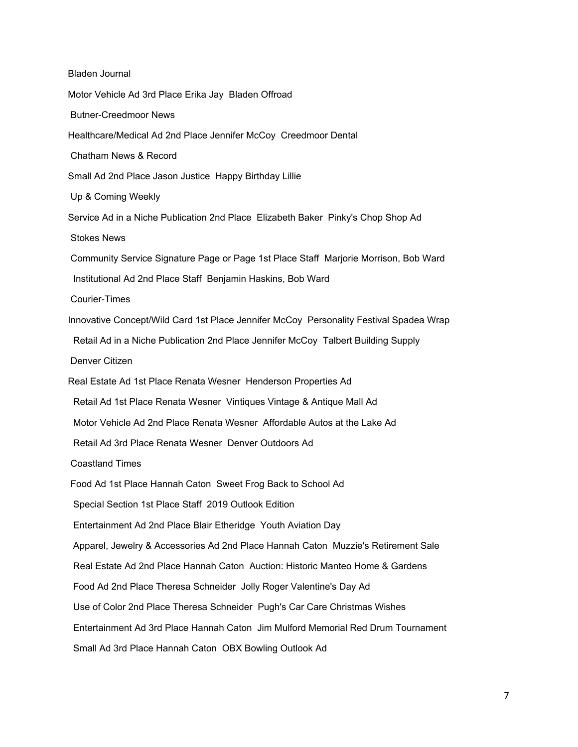Bladen Journal Motor Vehicle Ad 3rd Place Erika Jay Bladen Offroad Butner-Creedmoor News Healthcare/Medical Ad 2nd Place Jennifer McCoy Creedmoor Dental Chatham News & Record Small Ad 2nd Place Jason Justice Happy Birthday Lillie Up & Coming Weekly Service Ad in a Niche Publication 2nd Place Elizabeth Baker Pinky's Chop Shop Ad Stokes News Community Service Signature Page or Page 1st Place Staff Marjorie Morrison, Bob Ward Institutional Ad 2nd Place Staff Benjamin Haskins, Bob Ward Courier-Times Innovative Concept/Wild Card 1st Place Jennifer McCoy Personality Festival Spadea Wrap Retail Ad in a Niche Publication 2nd Place Jennifer McCoy Talbert Building Supply Denver Citizen Real Estate Ad 1st Place Renata Wesner Henderson Properties Ad Retail Ad 1st Place Renata Wesner Vintiques Vintage & Antique Mall Ad Motor Vehicle Ad 2nd Place Renata Wesner Affordable Autos at the Lake Ad Retail Ad 3rd Place Renata Wesner Denver Outdoors Ad Coastland Times Food Ad 1st Place Hannah Caton Sweet Frog Back to School Ad Special Section 1st Place Staff 2019 Outlook Edition Entertainment Ad 2nd Place Blair Etheridge Youth Aviation Day Apparel, Jewelry & Accessories Ad 2nd Place Hannah Caton Muzzie's Retirement Sale Real Estate Ad 2nd Place Hannah Caton Auction: Historic Manteo Home & Gardens Food Ad 2nd Place Theresa Schneider Jolly Roger Valentine's Day Ad Use of Color 2nd Place Theresa Schneider Pugh's Car Care Christmas Wishes Entertainment Ad 3rd Place Hannah Caton Jim Mulford Memorial Red Drum Tournament Small Ad 3rd Place Hannah Caton OBX Bowling Outlook Ad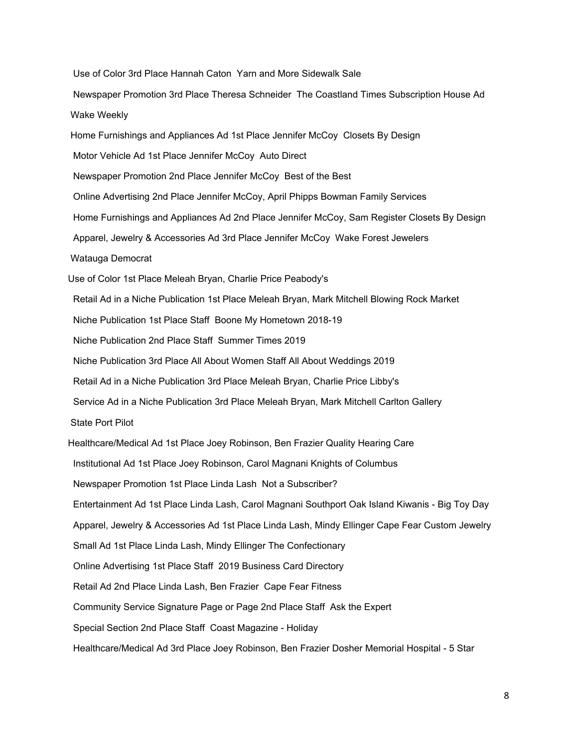Use of Color 3rd Place Hannah Caton Yarn and More Sidewalk Sale

Newspaper Promotion 3rd Place Theresa Schneider The Coastland Times Subscription House Ad Wake Weekly

Home Furnishings and Appliances Ad 1st Place Jennifer McCoy Closets By Design

Motor Vehicle Ad 1st Place Jennifer McCoy Auto Direct

Newspaper Promotion 2nd Place Jennifer McCoy Best of the Best

Online Advertising 2nd Place Jennifer McCoy, April Phipps Bowman Family Services

Home Furnishings and Appliances Ad 2nd Place Jennifer McCoy, Sam Register Closets By Design

Apparel, Jewelry & Accessories Ad 3rd Place Jennifer McCoy Wake Forest Jewelers

Watauga Democrat

Use of Color 1st Place Meleah Bryan, Charlie Price Peabody's

Retail Ad in a Niche Publication 1st Place Meleah Bryan, Mark Mitchell Blowing Rock Market

Niche Publication 1st Place Staff Boone My Hometown 2018-19

Niche Publication 2nd Place Staff Summer Times 2019

Niche Publication 3rd Place All About Women Staff All About Weddings 2019

Retail Ad in a Niche Publication 3rd Place Meleah Bryan, Charlie Price Libby's

Service Ad in a Niche Publication 3rd Place Meleah Bryan, Mark Mitchell Carlton Gallery

State Port Pilot

Healthcare/Medical Ad 1st Place Joey Robinson, Ben Frazier Quality Hearing Care

Institutional Ad 1st Place Joey Robinson, Carol Magnani Knights of Columbus

Newspaper Promotion 1st Place Linda Lash Not a Subscriber?

Entertainment Ad 1st Place Linda Lash, Carol Magnani Southport Oak Island Kiwanis - Big Toy Day

Apparel, Jewelry & Accessories Ad 1st Place Linda Lash, Mindy Ellinger Cape Fear Custom Jewelry

Small Ad 1st Place Linda Lash, Mindy Ellinger The Confectionary

Online Advertising 1st Place Staff 2019 Business Card Directory

Retail Ad 2nd Place Linda Lash, Ben Frazier Cape Fear Fitness

Community Service Signature Page or Page 2nd Place Staff Ask the Expert

Special Section 2nd Place Staff Coast Magazine - Holiday

Healthcare/Medical Ad 3rd Place Joey Robinson, Ben Frazier Dosher Memorial Hospital - 5 Star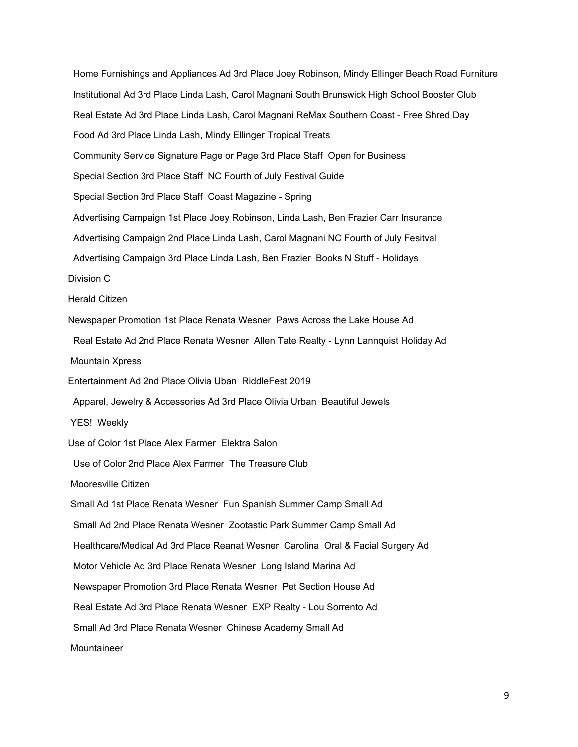Home Furnishings and Appliances Ad 3rd Place Joey Robinson, Mindy Ellinger Beach Road Furniture Institutional Ad 3rd Place Linda Lash, Carol Magnani South Brunswick High School Booster Club Real Estate Ad 3rd Place Linda Lash, Carol Magnani ReMax Southern Coast - Free Shred Day Food Ad 3rd Place Linda Lash, Mindy Ellinger Tropical Treats Community Service Signature Page or Page 3rd Place Staff Open for Business Special Section 3rd Place Staff NC Fourth of July Festival Guide Special Section 3rd Place Staff Coast Magazine - Spring Advertising Campaign 1st Place Joey Robinson, Linda Lash, Ben Frazier Carr Insurance Advertising Campaign 2nd Place Linda Lash, Carol Magnani NC Fourth of July Fesitval Advertising Campaign 3rd Place Linda Lash, Ben Frazier Books N Stuff - Holidays Division C Herald Citizen Newspaper Promotion 1st Place Renata Wesner Paws Across the Lake House Ad Real Estate Ad 2nd Place Renata Wesner Allen Tate Realty - Lynn Lannquist Holiday Ad Mountain Xpress Entertainment Ad 2nd Place Olivia Uban RiddleFest 2019 Apparel, Jewelry & Accessories Ad 3rd Place Olivia Urban Beautiful Jewels YES! Weekly Use of Color 1st Place Alex Farmer Elektra Salon Use of Color 2nd Place Alex Farmer The Treasure Club Mooresville Citizen Small Ad 1st Place Renata Wesner Fun Spanish Summer Camp Small Ad Small Ad 2nd Place Renata Wesner Zootastic Park Summer Camp Small Ad Healthcare/Medical Ad 3rd Place Reanat Wesner Carolina Oral & Facial Surgery Ad Motor Vehicle Ad 3rd Place Renata Wesner Long Island Marina Ad Newspaper Promotion 3rd Place Renata Wesner Pet Section House Ad Real Estate Ad 3rd Place Renata Wesner EXP Realty - Lou Sorrento Ad Small Ad 3rd Place Renata Wesner Chinese Academy Small Ad Mountaineer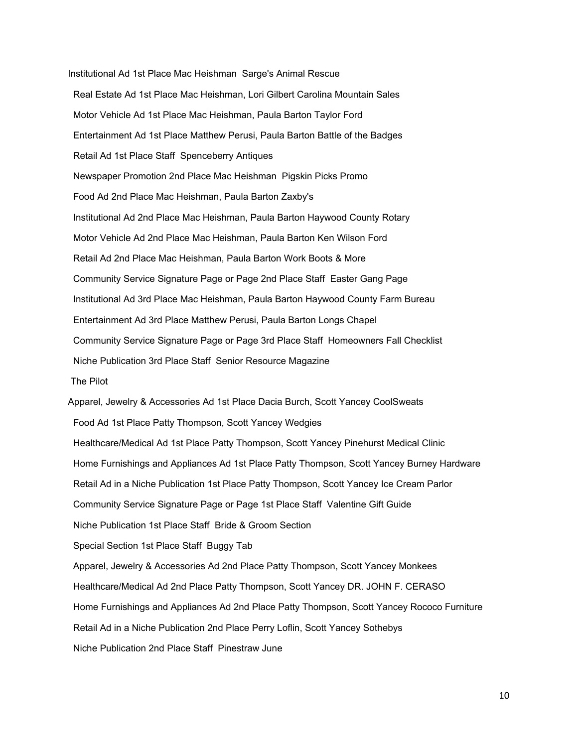Institutional Ad 1st Place Mac Heishman Sarge's Animal Rescue Real Estate Ad 1st Place Mac Heishman, Lori Gilbert Carolina Mountain Sales Motor Vehicle Ad 1st Place Mac Heishman, Paula Barton Taylor Ford Entertainment Ad 1st Place Matthew Perusi, Paula Barton Battle of the Badges Retail Ad 1st Place Staff Spenceberry Antiques Newspaper Promotion 2nd Place Mac Heishman Pigskin Picks Promo Food Ad 2nd Place Mac Heishman, Paula Barton Zaxby's Institutional Ad 2nd Place Mac Heishman, Paula Barton Haywood County Rotary Motor Vehicle Ad 2nd Place Mac Heishman, Paula Barton Ken Wilson Ford Retail Ad 2nd Place Mac Heishman, Paula Barton Work Boots & More Community Service Signature Page or Page 2nd Place Staff Easter Gang Page Institutional Ad 3rd Place Mac Heishman, Paula Barton Haywood County Farm Bureau Entertainment Ad 3rd Place Matthew Perusi, Paula Barton Longs Chapel Community Service Signature Page or Page 3rd Place Staff Homeowners Fall Checklist Niche Publication 3rd Place Staff Senior Resource Magazine The Pilot Apparel, Jewelry & Accessories Ad 1st Place Dacia Burch, Scott Yancey CoolSweats Food Ad 1st Place Patty Thompson, Scott Yancey Wedgies Healthcare/Medical Ad 1st Place Patty Thompson, Scott Yancey Pinehurst Medical Clinic Home Furnishings and Appliances Ad 1st Place Patty Thompson, Scott Yancey Burney Hardware Retail Ad in a Niche Publication 1st Place Patty Thompson, Scott Yancey Ice Cream Parlor Community Service Signature Page or Page 1st Place Staff Valentine Gift Guide

Niche Publication 1st Place Staff Bride & Groom Section

Special Section 1st Place Staff Buggy Tab

Apparel, Jewelry & Accessories Ad 2nd Place Patty Thompson, Scott Yancey Monkees

Healthcare/Medical Ad 2nd Place Patty Thompson, Scott Yancey DR. JOHN F. CERASO

Home Furnishings and Appliances Ad 2nd Place Patty Thompson, Scott Yancey Rococo Furniture

Retail Ad in a Niche Publication 2nd Place Perry Loflin, Scott Yancey Sothebys

Niche Publication 2nd Place Staff Pinestraw June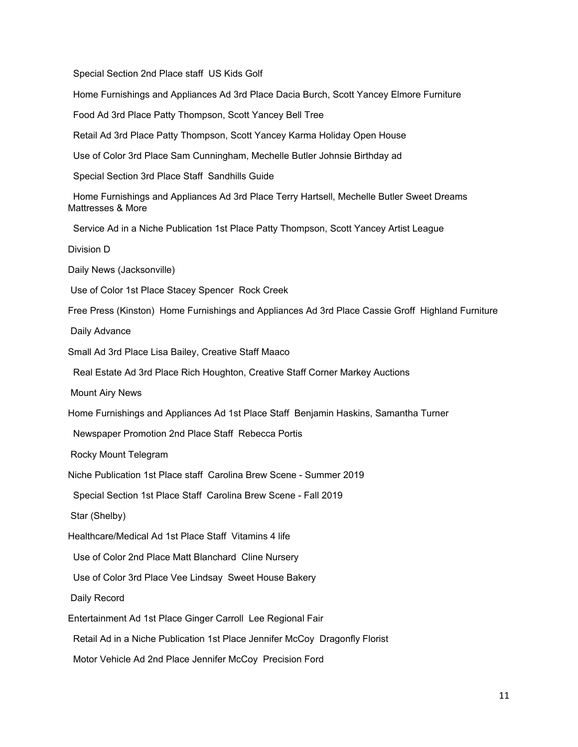Special Section 2nd Place staff US Kids Golf

Home Furnishings and Appliances Ad 3rd Place Dacia Burch, Scott Yancey Elmore Furniture

Food Ad 3rd Place Patty Thompson, Scott Yancey Bell Tree

Retail Ad 3rd Place Patty Thompson, Scott Yancey Karma Holiday Open House

Use of Color 3rd Place Sam Cunningham, Mechelle Butler Johnsie Birthday ad

Special Section 3rd Place Staff Sandhills Guide

Home Furnishings and Appliances Ad 3rd Place Terry Hartsell, Mechelle Butler Sweet Dreams Mattresses & More

Service Ad in a Niche Publication 1st Place Patty Thompson, Scott Yancey Artist League

Division D

Daily News (Jacksonville)

Use of Color 1st Place Stacey Spencer Rock Creek

Free Press (Kinston) Home Furnishings and Appliances Ad 3rd Place Cassie Groff Highland Furniture

Daily Advance

Small Ad 3rd Place Lisa Bailey, Creative Staff Maaco

Real Estate Ad 3rd Place Rich Houghton, Creative Staff Corner Markey Auctions

Mount Airy News

Home Furnishings and Appliances Ad 1st Place Staff Benjamin Haskins, Samantha Turner

Newspaper Promotion 2nd Place Staff Rebecca Portis

Rocky Mount Telegram

Niche Publication 1st Place staff Carolina Brew Scene - Summer 2019

Special Section 1st Place Staff Carolina Brew Scene - Fall 2019

Star (Shelby)

Healthcare/Medical Ad 1st Place Staff Vitamins 4 life

Use of Color 2nd Place Matt Blanchard Cline Nursery

Use of Color 3rd Place Vee Lindsay Sweet House Bakery

Daily Record

Entertainment Ad 1st Place Ginger Carroll Lee Regional Fair

Retail Ad in a Niche Publication 1st Place Jennifer McCoy Dragonfly Florist

Motor Vehicle Ad 2nd Place Jennifer McCoy Precision Ford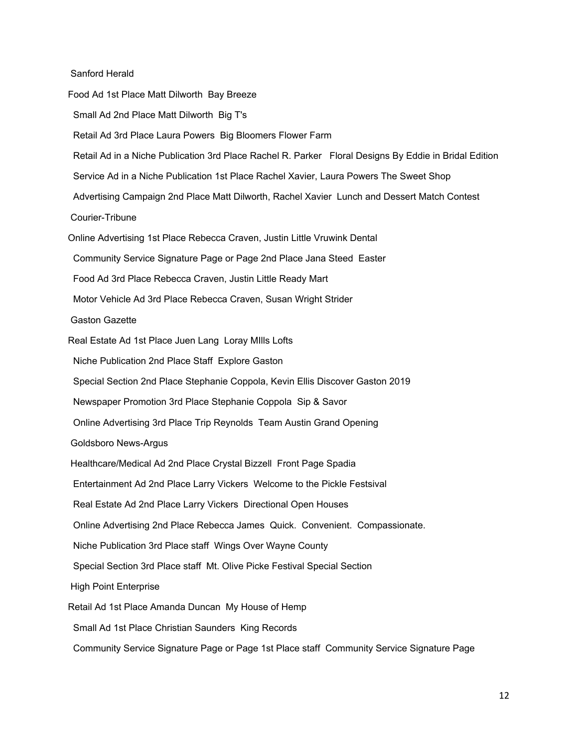Sanford Herald

Food Ad 1st Place Matt Dilworth Bay Breeze Small Ad 2nd Place Matt Dilworth Big T's Retail Ad 3rd Place Laura Powers Big Bloomers Flower Farm Retail Ad in a Niche Publication 3rd Place Rachel R. Parker Floral Designs By Eddie in Bridal Edition Service Ad in a Niche Publication 1st Place Rachel Xavier, Laura Powers The Sweet Shop Advertising Campaign 2nd Place Matt Dilworth, Rachel Xavier Lunch and Dessert Match Contest Courier-Tribune Online Advertising 1st Place Rebecca Craven, Justin Little Vruwink Dental Community Service Signature Page or Page 2nd Place Jana Steed Easter Food Ad 3rd Place Rebecca Craven, Justin Little Ready Mart Motor Vehicle Ad 3rd Place Rebecca Craven, Susan Wright Strider Gaston Gazette Real Estate Ad 1st Place Juen Lang Loray MIlls Lofts Niche Publication 2nd Place Staff Explore Gaston Special Section 2nd Place Stephanie Coppola, Kevin Ellis Discover Gaston 2019 Newspaper Promotion 3rd Place Stephanie Coppola Sip & Savor Online Advertising 3rd Place Trip Reynolds Team Austin Grand Opening Goldsboro News-Argus Healthcare/Medical Ad 2nd Place Crystal Bizzell Front Page Spadia Entertainment Ad 2nd Place Larry Vickers Welcome to the Pickle Festsival Real Estate Ad 2nd Place Larry Vickers Directional Open Houses Online Advertising 2nd Place Rebecca James Quick. Convenient. Compassionate. Niche Publication 3rd Place staff Wings Over Wayne County Special Section 3rd Place staff Mt. Olive Picke Festival Special Section High Point Enterprise Retail Ad 1st Place Amanda Duncan My House of Hemp Small Ad 1st Place Christian Saunders King Records

Community Service Signature Page or Page 1st Place staff Community Service Signature Page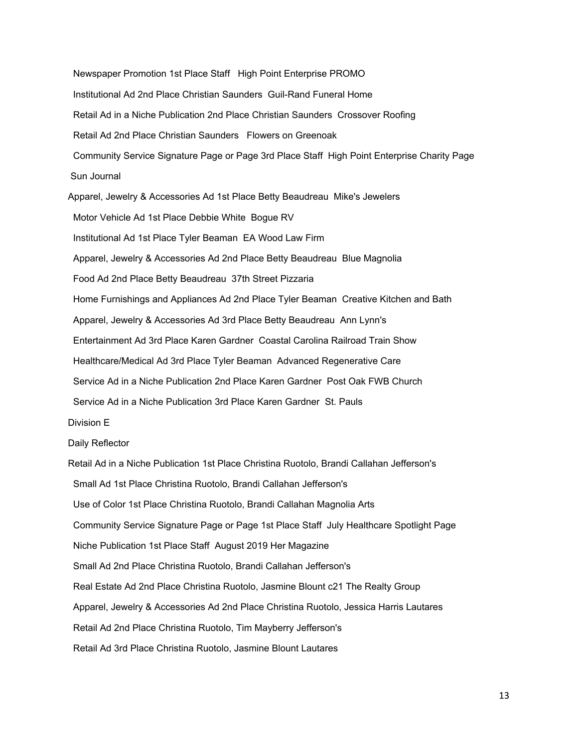Newspaper Promotion 1st Place Staff High Point Enterprise PROMO Institutional Ad 2nd Place Christian Saunders Guil-Rand Funeral Home Retail Ad in a Niche Publication 2nd Place Christian Saunders Crossover Roofing Retail Ad 2nd Place Christian Saunders Flowers on Greenoak Community Service Signature Page or Page 3rd Place Staff High Point Enterprise Charity Page Sun Journal Apparel, Jewelry & Accessories Ad 1st Place Betty Beaudreau Mike's Jewelers Motor Vehicle Ad 1st Place Debbie White Bogue RV Institutional Ad 1st Place Tyler Beaman EA Wood Law Firm Apparel, Jewelry & Accessories Ad 2nd Place Betty Beaudreau Blue Magnolia Food Ad 2nd Place Betty Beaudreau 37th Street Pizzaria Home Furnishings and Appliances Ad 2nd Place Tyler Beaman Creative Kitchen and Bath Apparel, Jewelry & Accessories Ad 3rd Place Betty Beaudreau Ann Lynn's Entertainment Ad 3rd Place Karen Gardner Coastal Carolina Railroad Train Show Healthcare/Medical Ad 3rd Place Tyler Beaman Advanced Regenerative Care Service Ad in a Niche Publication 2nd Place Karen Gardner Post Oak FWB Church Service Ad in a Niche Publication 3rd Place Karen Gardner St. Pauls Division E Daily Reflector Retail Ad in a Niche Publication 1st Place Christina Ruotolo, Brandi Callahan Jefferson's Small Ad 1st Place Christina Ruotolo, Brandi Callahan Jefferson's Use of Color 1st Place Christina Ruotolo, Brandi Callahan Magnolia Arts Community Service Signature Page or Page 1st Place Staff July Healthcare Spotlight Page Niche Publication 1st Place Staff August 2019 Her Magazine Small Ad 2nd Place Christina Ruotolo, Brandi Callahan Jefferson's Real Estate Ad 2nd Place Christina Ruotolo, Jasmine Blount c21 The Realty Group Apparel, Jewelry & Accessories Ad 2nd Place Christina Ruotolo, Jessica Harris Lautares Retail Ad 2nd Place Christina Ruotolo, Tim Mayberry Jefferson's Retail Ad 3rd Place Christina Ruotolo, Jasmine Blount Lautares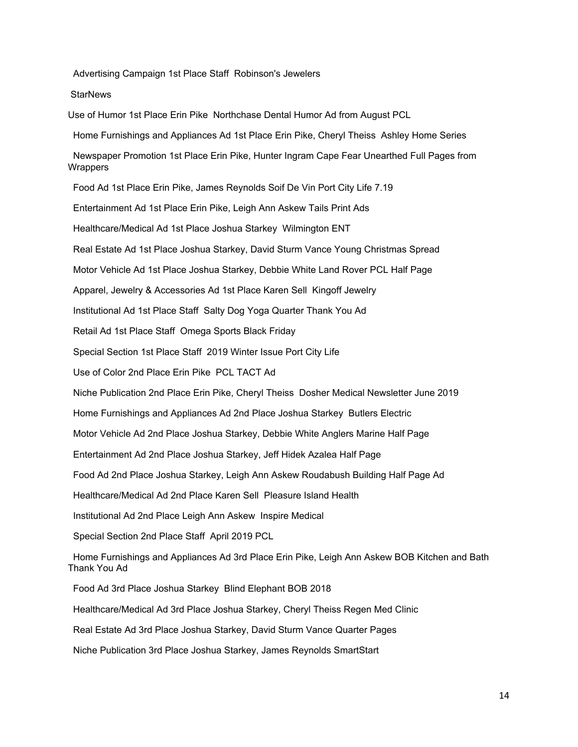Advertising Campaign 1st Place Staff Robinson's Jewelers

**StarNews** 

Use of Humor 1st Place Erin Pike Northchase Dental Humor Ad from August PCL

Home Furnishings and Appliances Ad 1st Place Erin Pike, Cheryl Theiss Ashley Home Series

Newspaper Promotion 1st Place Erin Pike, Hunter Ingram Cape Fear Unearthed Full Pages from **Wrappers** 

Food Ad 1st Place Erin Pike, James Reynolds Soif De Vin Port City Life 7.19

Entertainment Ad 1st Place Erin Pike, Leigh Ann Askew Tails Print Ads

Healthcare/Medical Ad 1st Place Joshua Starkey Wilmington ENT

Real Estate Ad 1st Place Joshua Starkey, David Sturm Vance Young Christmas Spread

Motor Vehicle Ad 1st Place Joshua Starkey, Debbie White Land Rover PCL Half Page

Apparel, Jewelry & Accessories Ad 1st Place Karen Sell Kingoff Jewelry

Institutional Ad 1st Place Staff Salty Dog Yoga Quarter Thank You Ad

Retail Ad 1st Place Staff Omega Sports Black Friday

Special Section 1st Place Staff 2019 Winter Issue Port City Life

Use of Color 2nd Place Erin Pike PCL TACT Ad

Niche Publication 2nd Place Erin Pike, Cheryl Theiss Dosher Medical Newsletter June 2019

Home Furnishings and Appliances Ad 2nd Place Joshua Starkey Butlers Electric

Motor Vehicle Ad 2nd Place Joshua Starkey, Debbie White Anglers Marine Half Page

Entertainment Ad 2nd Place Joshua Starkey, Jeff Hidek Azalea Half Page

Food Ad 2nd Place Joshua Starkey, Leigh Ann Askew Roudabush Building Half Page Ad

Healthcare/Medical Ad 2nd Place Karen Sell Pleasure Island Health

Institutional Ad 2nd Place Leigh Ann Askew Inspire Medical

Special Section 2nd Place Staff April 2019 PCL

Home Furnishings and Appliances Ad 3rd Place Erin Pike, Leigh Ann Askew BOB Kitchen and Bath Thank You Ad

Food Ad 3rd Place Joshua Starkey Blind Elephant BOB 2018

Healthcare/Medical Ad 3rd Place Joshua Starkey, Cheryl Theiss Regen Med Clinic

Real Estate Ad 3rd Place Joshua Starkey, David Sturm Vance Quarter Pages

Niche Publication 3rd Place Joshua Starkey, James Reynolds SmartStart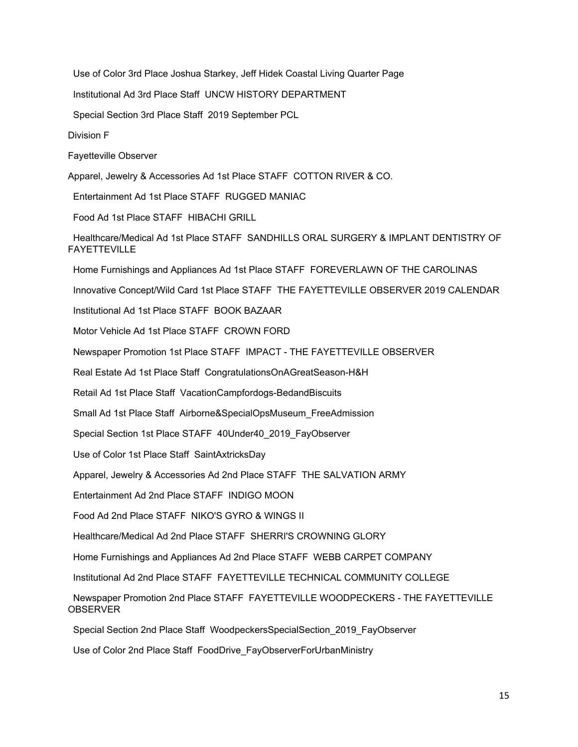Use of Color 3rd Place Joshua Starkey, Jeff Hidek Coastal Living Quarter Page

Institutional Ad 3rd Place Staff UNCW HISTORY DEPARTMENT

Special Section 3rd Place Staff 2019 September PCL

Division F

Fayetteville Observer

Apparel, Jewelry & Accessories Ad 1st Place STAFF COTTON RIVER & CO.

Entertainment Ad 1st Place STAFF RUGGED MANIAC

Food Ad 1st Place STAFF HIBACHI GRILL

Healthcare/Medical Ad 1st Place STAFF SANDHILLS ORAL SURGERY & IMPLANT DENTISTRY OF FAYETTEVILLE

Home Furnishings and Appliances Ad 1st Place STAFF FOREVERLAWN OF THE CAROLINAS

Innovative Concept/Wild Card 1st Place STAFF THE FAYETTEVILLE OBSERVER 2019 CALENDAR

Institutional Ad 1st Place STAFF BOOK BAZAAR

Motor Vehicle Ad 1st Place STAFF CROWN FORD

Newspaper Promotion 1st Place STAFF IMPACT - THE FAYETTEVILLE OBSERVER

Real Estate Ad 1st Place Staff CongratulationsOnAGreatSeason-H&H

Retail Ad 1st Place Staff VacationCampfordogs-BedandBiscuits

Small Ad 1st Place Staff Airborne&SpecialOpsMuseum\_FreeAdmission

Special Section 1st Place STAFF 40Under40\_2019\_FayObserver

Use of Color 1st Place Staff SaintAxtricksDay

Apparel, Jewelry & Accessories Ad 2nd Place STAFF THE SALVATION ARMY

Entertainment Ad 2nd Place STAFF INDIGO MOON

Food Ad 2nd Place STAFF NIKO'S GYRO & WINGS II

Healthcare/Medical Ad 2nd Place STAFF SHERRI'S CROWNING GLORY

Home Furnishings and Appliances Ad 2nd Place STAFF WEBB CARPET COMPANY

Institutional Ad 2nd Place STAFF FAYETTEVILLE TECHNICAL COMMUNITY COLLEGE

Newspaper Promotion 2nd Place STAFF FAYETTEVILLE WOODPECKERS - THE FAYETTEVILLE **OBSERVER** 

Special Section 2nd Place Staff WoodpeckersSpecialSection\_2019\_FayObserver

Use of Color 2nd Place Staff FoodDrive\_FayObserverForUrbanMinistry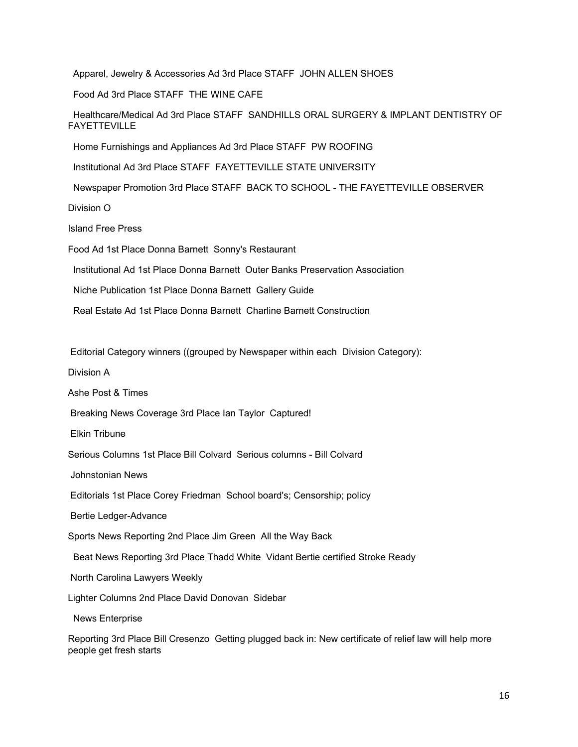Apparel, Jewelry & Accessories Ad 3rd Place STAFF JOHN ALLEN SHOES

Food Ad 3rd Place STAFF THE WINE CAFE

Healthcare/Medical Ad 3rd Place STAFF SANDHILLS ORAL SURGERY & IMPLANT DENTISTRY OF FAYETTEVILLE

Home Furnishings and Appliances Ad 3rd Place STAFF PW ROOFING

Institutional Ad 3rd Place STAFF FAYETTEVILLE STATE UNIVERSITY

Newspaper Promotion 3rd Place STAFF BACK TO SCHOOL - THE FAYETTEVILLE OBSERVER

Division O

Island Free Press

Food Ad 1st Place Donna Barnett Sonny's Restaurant

Institutional Ad 1st Place Donna Barnett Outer Banks Preservation Association

Niche Publication 1st Place Donna Barnett Gallery Guide

Real Estate Ad 1st Place Donna Barnett Charline Barnett Construction

Editorial Category winners ((grouped by Newspaper within each Division Category):

Division A

Ashe Post & Times

Breaking News Coverage 3rd Place Ian Taylor Captured!

Elkin Tribune

Serious Columns 1st Place Bill Colvard Serious columns - Bill Colvard

Johnstonian News

Editorials 1st Place Corey Friedman School board's; Censorship; policy

Bertie Ledger-Advance

Sports News Reporting 2nd Place Jim Green All the Way Back

Beat News Reporting 3rd Place Thadd White Vidant Bertie certified Stroke Ready

North Carolina Lawyers Weekly

Lighter Columns 2nd Place David Donovan Sidebar

News Enterprise

Reporting 3rd Place Bill Cresenzo Getting plugged back in: New certificate of relief law will help more people get fresh starts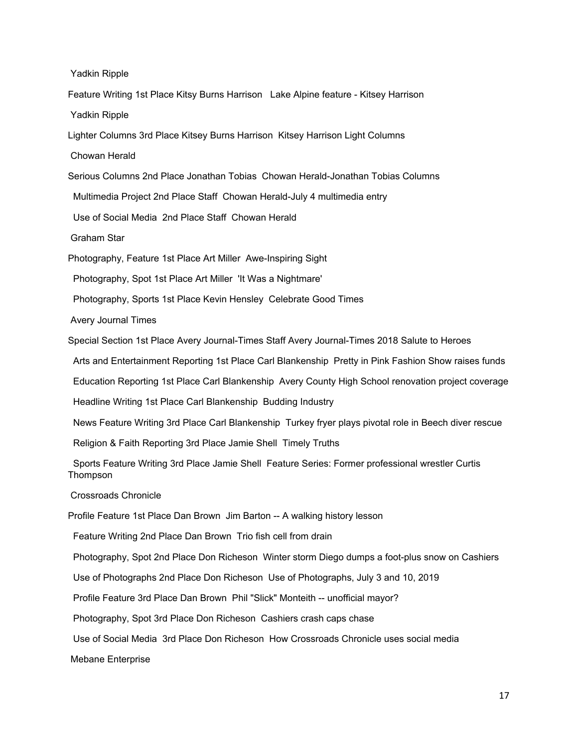Yadkin Ripple

Feature Writing 1st Place Kitsy Burns Harrison Lake Alpine feature - Kitsey Harrison Yadkin Ripple

Lighter Columns 3rd Place Kitsey Burns Harrison Kitsey Harrison Light Columns

Chowan Herald

Serious Columns 2nd Place Jonathan Tobias Chowan Herald-Jonathan Tobias Columns

Multimedia Project 2nd Place Staff Chowan Herald-July 4 multimedia entry

Use of Social Media 2nd Place Staff Chowan Herald

Graham Star

Photography, Feature 1st Place Art Miller Awe-Inspiring Sight

Photography, Spot 1st Place Art Miller 'It Was a Nightmare'

Photography, Sports 1st Place Kevin Hensley Celebrate Good Times

Avery Journal Times

Special Section 1st Place Avery Journal-Times Staff Avery Journal-Times 2018 Salute to Heroes

Arts and Entertainment Reporting 1st Place Carl Blankenship Pretty in Pink Fashion Show raises funds

Education Reporting 1st Place Carl Blankenship Avery County High School renovation project coverage

Headline Writing 1st Place Carl Blankenship Budding Industry

News Feature Writing 3rd Place Carl Blankenship Turkey fryer plays pivotal role in Beech diver rescue

Religion & Faith Reporting 3rd Place Jamie Shell Timely Truths

Sports Feature Writing 3rd Place Jamie Shell Feature Series: Former professional wrestler Curtis Thompson

Crossroads Chronicle

Profile Feature 1st Place Dan Brown Jim Barton -- A walking history lesson

Feature Writing 2nd Place Dan Brown Trio fish cell from drain

Photography, Spot 2nd Place Don Richeson Winter storm Diego dumps a foot-plus snow on Cashiers

Use of Photographs 2nd Place Don Richeson Use of Photographs, July 3 and 10, 2019

Profile Feature 3rd Place Dan Brown Phil "Slick" Monteith -- unofficial mayor?

Photography, Spot 3rd Place Don Richeson Cashiers crash caps chase

Use of Social Media 3rd Place Don Richeson How Crossroads Chronicle uses social media

Mebane Enterprise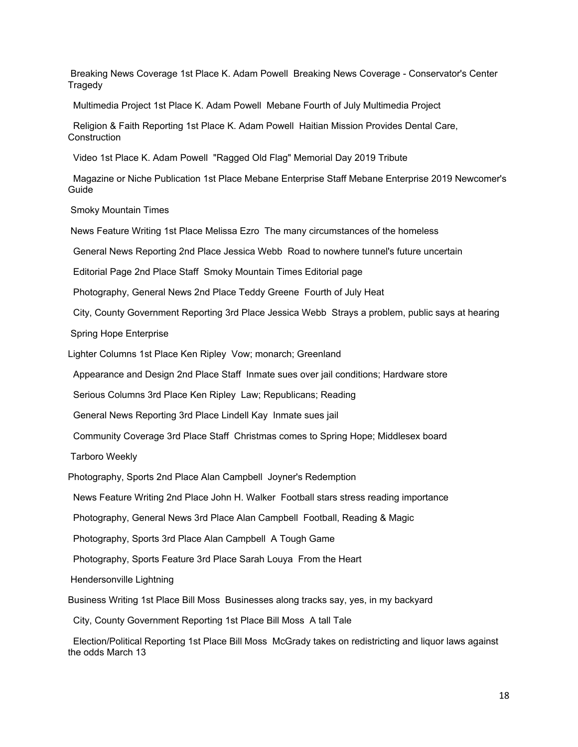Breaking News Coverage 1st Place K. Adam Powell Breaking News Coverage - Conservator's Center **Tragedy** 

Multimedia Project 1st Place K. Adam Powell Mebane Fourth of July Multimedia Project

Religion & Faith Reporting 1st Place K. Adam Powell Haitian Mission Provides Dental Care, **Construction** 

Video 1st Place K. Adam Powell "Ragged Old Flag" Memorial Day 2019 Tribute

Magazine or Niche Publication 1st Place Mebane Enterprise Staff Mebane Enterprise 2019 Newcomer's Guide

Smoky Mountain Times

News Feature Writing 1st Place Melissa Ezro The many circumstances of the homeless

General News Reporting 2nd Place Jessica Webb Road to nowhere tunnel's future uncertain

Editorial Page 2nd Place Staff Smoky Mountain Times Editorial page

Photography, General News 2nd Place Teddy Greene Fourth of July Heat

City, County Government Reporting 3rd Place Jessica Webb Strays a problem, public says at hearing

Spring Hope Enterprise

Lighter Columns 1st Place Ken Ripley Vow; monarch; Greenland

Appearance and Design 2nd Place Staff Inmate sues over jail conditions; Hardware store

Serious Columns 3rd Place Ken Ripley Law; Republicans; Reading

General News Reporting 3rd Place Lindell Kay Inmate sues jail

Community Coverage 3rd Place Staff Christmas comes to Spring Hope; Middlesex board

Tarboro Weekly

Photography, Sports 2nd Place Alan Campbell Joyner's Redemption

News Feature Writing 2nd Place John H. Walker Football stars stress reading importance

Photography, General News 3rd Place Alan Campbell Football, Reading & Magic

Photography, Sports 3rd Place Alan Campbell A Tough Game

Photography, Sports Feature 3rd Place Sarah Louya From the Heart

Hendersonville Lightning

Business Writing 1st Place Bill Moss Businesses along tracks say, yes, in my backyard

City, County Government Reporting 1st Place Bill Moss A tall Tale

Election/Political Reporting 1st Place Bill Moss McGrady takes on redistricting and liquor laws against the odds March 13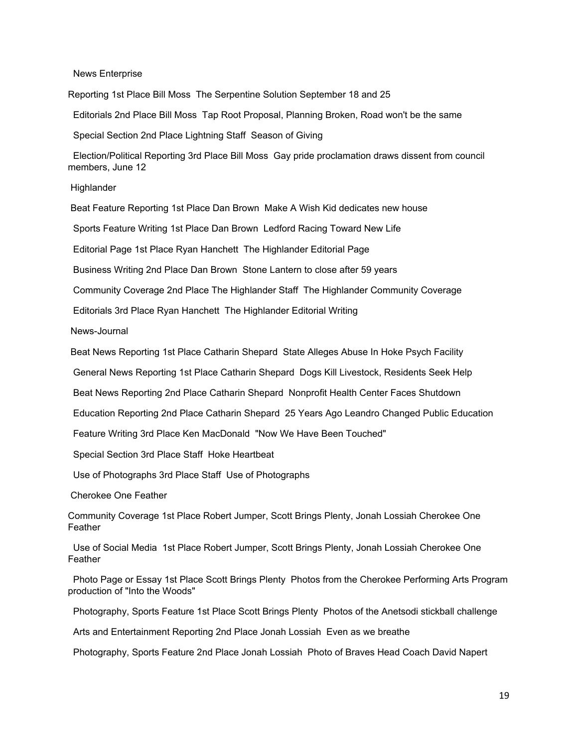#### News Enterprise

Reporting 1st Place Bill Moss The Serpentine Solution September 18 and 25

Editorials 2nd Place Bill Moss Tap Root Proposal, Planning Broken, Road won't be the same

Special Section 2nd Place Lightning Staff Season of Giving

Election/Political Reporting 3rd Place Bill Moss Gay pride proclamation draws dissent from council members, June 12

**Highlander** 

Beat Feature Reporting 1st Place Dan Brown Make A Wish Kid dedicates new house

Sports Feature Writing 1st Place Dan Brown Ledford Racing Toward New Life

Editorial Page 1st Place Ryan Hanchett The Highlander Editorial Page

Business Writing 2nd Place Dan Brown Stone Lantern to close after 59 years

Community Coverage 2nd Place The Highlander Staff The Highlander Community Coverage

Editorials 3rd Place Ryan Hanchett The Highlander Editorial Writing

News-Journal

Beat News Reporting 1st Place Catharin Shepard State Alleges Abuse In Hoke Psych Facility

General News Reporting 1st Place Catharin Shepard Dogs Kill Livestock, Residents Seek Help

Beat News Reporting 2nd Place Catharin Shepard Nonprofit Health Center Faces Shutdown

Education Reporting 2nd Place Catharin Shepard 25 Years Ago Leandro Changed Public Education

Feature Writing 3rd Place Ken MacDonald "Now We Have Been Touched"

Special Section 3rd Place Staff Hoke Heartbeat

Use of Photographs 3rd Place Staff Use of Photographs

Cherokee One Feather

Community Coverage 1st Place Robert Jumper, Scott Brings Plenty, Jonah Lossiah Cherokee One Feather

Use of Social Media 1st Place Robert Jumper, Scott Brings Plenty, Jonah Lossiah Cherokee One **Feather** 

Photo Page or Essay 1st Place Scott Brings Plenty Photos from the Cherokee Performing Arts Program production of "Into the Woods"

Photography, Sports Feature 1st Place Scott Brings Plenty Photos of the Anetsodi stickball challenge

Arts and Entertainment Reporting 2nd Place Jonah Lossiah Even as we breathe

Photography, Sports Feature 2nd Place Jonah Lossiah Photo of Braves Head Coach David Napert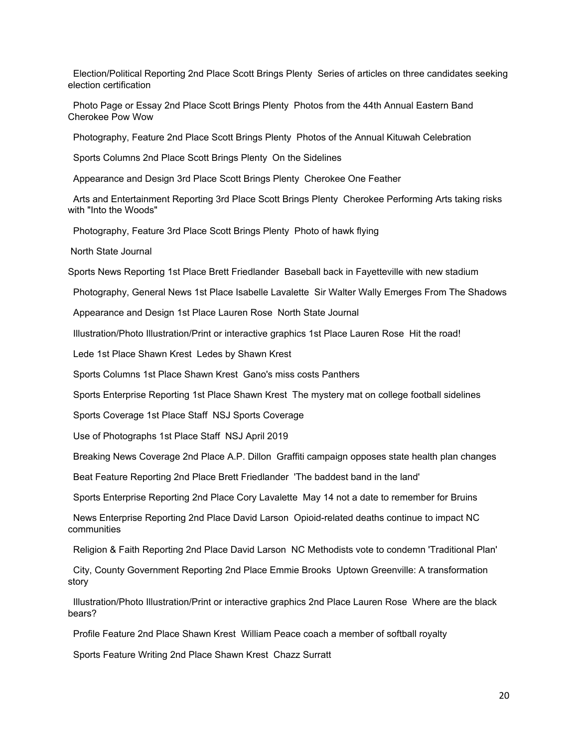Election/Political Reporting 2nd Place Scott Brings Plenty Series of articles on three candidates seeking election certification

Photo Page or Essay 2nd Place Scott Brings Plenty Photos from the 44th Annual Eastern Band Cherokee Pow Wow

Photography, Feature 2nd Place Scott Brings Plenty Photos of the Annual Kituwah Celebration

Sports Columns 2nd Place Scott Brings Plenty On the Sidelines

Appearance and Design 3rd Place Scott Brings Plenty Cherokee One Feather

Arts and Entertainment Reporting 3rd Place Scott Brings Plenty Cherokee Performing Arts taking risks with "Into the Woods"

Photography, Feature 3rd Place Scott Brings Plenty Photo of hawk flying

North State Journal

Sports News Reporting 1st Place Brett Friedlander Baseball back in Fayetteville with new stadium

Photography, General News 1st Place Isabelle Lavalette Sir Walter Wally Emerges From The Shadows

Appearance and Design 1st Place Lauren Rose North State Journal

Illustration/Photo Illustration/Print or interactive graphics 1st Place Lauren Rose Hit the road!

Lede 1st Place Shawn Krest Ledes by Shawn Krest

Sports Columns 1st Place Shawn Krest Gano's miss costs Panthers

Sports Enterprise Reporting 1st Place Shawn Krest The mystery mat on college football sidelines

Sports Coverage 1st Place Staff NSJ Sports Coverage

Use of Photographs 1st Place Staff NSJ April 2019

Breaking News Coverage 2nd Place A.P. Dillon Graffiti campaign opposes state health plan changes

Beat Feature Reporting 2nd Place Brett Friedlander 'The baddest band in the land'

Sports Enterprise Reporting 2nd Place Cory Lavalette May 14 not a date to remember for Bruins

News Enterprise Reporting 2nd Place David Larson Opioid-related deaths continue to impact NC communities

Religion & Faith Reporting 2nd Place David Larson NC Methodists vote to condemn 'Traditional Plan'

City, County Government Reporting 2nd Place Emmie Brooks Uptown Greenville: A transformation story

Illustration/Photo Illustration/Print or interactive graphics 2nd Place Lauren Rose Where are the black bears?

Profile Feature 2nd Place Shawn Krest William Peace coach a member of softball royalty

Sports Feature Writing 2nd Place Shawn Krest Chazz Surratt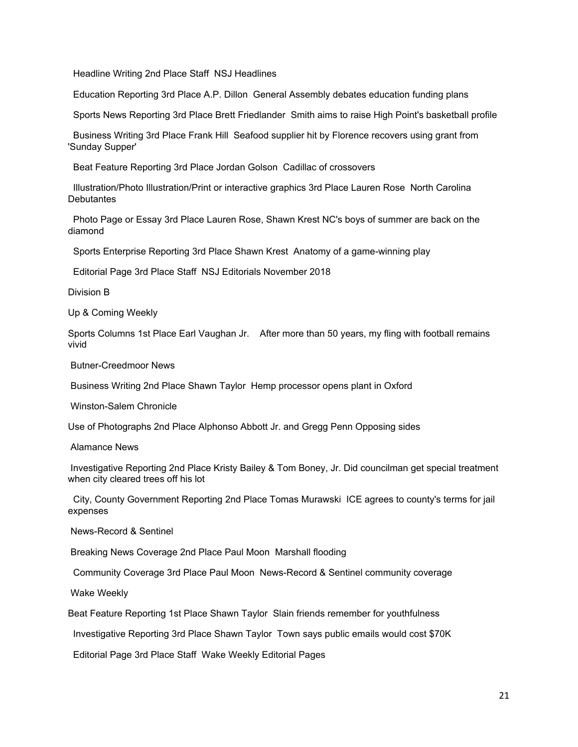Headline Writing 2nd Place Staff NSJ Headlines

Education Reporting 3rd Place A.P. Dillon General Assembly debates education funding plans

Sports News Reporting 3rd Place Brett Friedlander Smith aims to raise High Point's basketball profile

Business Writing 3rd Place Frank Hill Seafood supplier hit by Florence recovers using grant from 'Sunday Supper'

Beat Feature Reporting 3rd Place Jordan Golson Cadillac of crossovers

Illustration/Photo Illustration/Print or interactive graphics 3rd Place Lauren Rose North Carolina **Debutantes** 

Photo Page or Essay 3rd Place Lauren Rose, Shawn Krest NC's boys of summer are back on the diamond

Sports Enterprise Reporting 3rd Place Shawn Krest Anatomy of a game-winning play

Editorial Page 3rd Place Staff NSJ Editorials November 2018

Division B

Up & Coming Weekly

Sports Columns 1st Place Earl Vaughan Jr. After more than 50 years, my fling with football remains vivid

Butner-Creedmoor News

Business Writing 2nd Place Shawn Taylor Hemp processor opens plant in Oxford

Winston-Salem Chronicle

Use of Photographs 2nd Place Alphonso Abbott Jr. and Gregg Penn Opposing sides

Alamance News

Investigative Reporting 2nd Place Kristy Bailey & Tom Boney, Jr. Did councilman get special treatment when city cleared trees off his lot

City, County Government Reporting 2nd Place Tomas Murawski ICE agrees to county's terms for jail expenses

News-Record & Sentinel

Breaking News Coverage 2nd Place Paul Moon Marshall flooding

Community Coverage 3rd Place Paul Moon News-Record & Sentinel community coverage

Wake Weekly

Beat Feature Reporting 1st Place Shawn Taylor Slain friends remember for youthfulness

Investigative Reporting 3rd Place Shawn Taylor Town says public emails would cost \$70K

Editorial Page 3rd Place Staff Wake Weekly Editorial Pages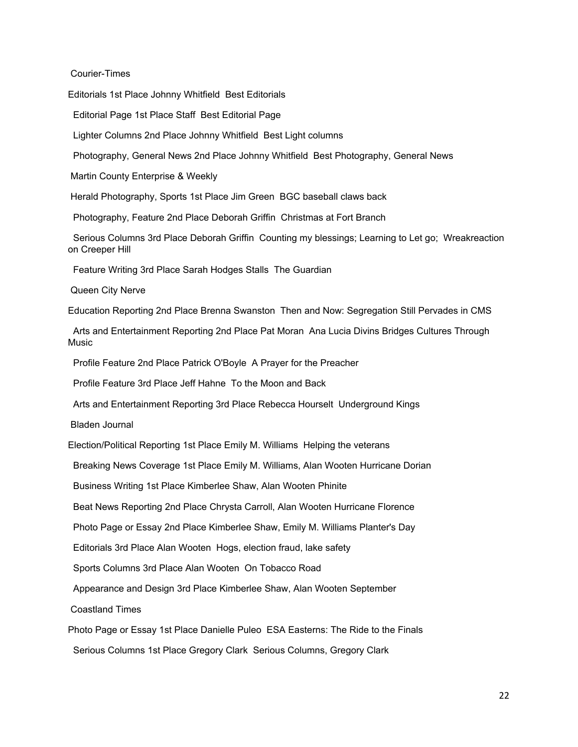Courier-Times

Editorials 1st Place Johnny Whitfield Best Editorials

Editorial Page 1st Place Staff Best Editorial Page

Lighter Columns 2nd Place Johnny Whitfield Best Light columns

Photography, General News 2nd Place Johnny Whitfield Best Photography, General News

Martin County Enterprise & Weekly

Herald Photography, Sports 1st Place Jim Green BGC baseball claws back

Photography, Feature 2nd Place Deborah Griffin Christmas at Fort Branch

Serious Columns 3rd Place Deborah Griffin Counting my blessings; Learning to Let go; Wreakreaction on Creeper Hill

Feature Writing 3rd Place Sarah Hodges Stalls The Guardian

Queen City Nerve

Education Reporting 2nd Place Brenna Swanston Then and Now: Segregation Still Pervades in CMS

Arts and Entertainment Reporting 2nd Place Pat Moran Ana Lucia Divins Bridges Cultures Through Music

Profile Feature 2nd Place Patrick O'Boyle A Prayer for the Preacher

Profile Feature 3rd Place Jeff Hahne To the Moon and Back

Arts and Entertainment Reporting 3rd Place Rebecca Hourselt Underground Kings

Bladen Journal

Election/Political Reporting 1st Place Emily M. Williams Helping the veterans

Breaking News Coverage 1st Place Emily M. Williams, Alan Wooten Hurricane Dorian

Business Writing 1st Place Kimberlee Shaw, Alan Wooten Phinite

Beat News Reporting 2nd Place Chrysta Carroll, Alan Wooten Hurricane Florence

Photo Page or Essay 2nd Place Kimberlee Shaw, Emily M. Williams Planter's Day

Editorials 3rd Place Alan Wooten Hogs, election fraud, lake safety

Sports Columns 3rd Place Alan Wooten On Tobacco Road

Appearance and Design 3rd Place Kimberlee Shaw, Alan Wooten September

Coastland Times

Photo Page or Essay 1st Place Danielle Puleo ESA Easterns: The Ride to the Finals

Serious Columns 1st Place Gregory Clark Serious Columns, Gregory Clark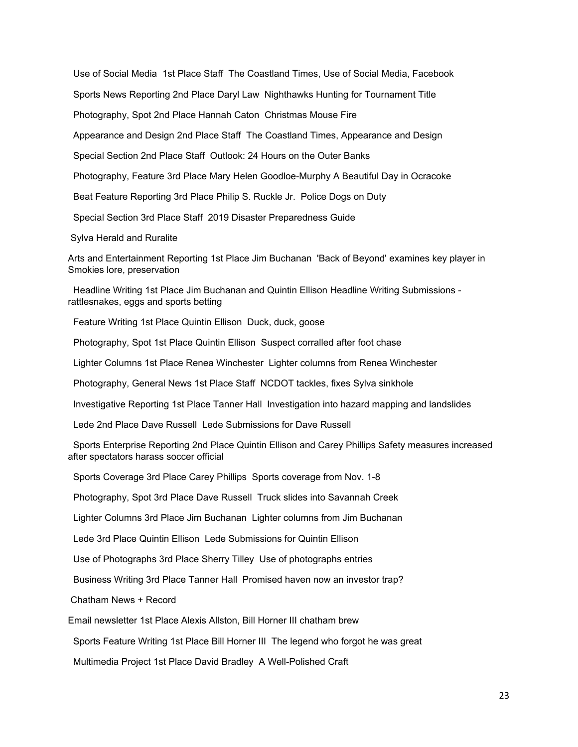Use of Social Media 1st Place Staff The Coastland Times, Use of Social Media, Facebook Sports News Reporting 2nd Place Daryl Law Nighthawks Hunting for Tournament Title Photography, Spot 2nd Place Hannah Caton Christmas Mouse Fire Appearance and Design 2nd Place Staff The Coastland Times, Appearance and Design Special Section 2nd Place Staff Outlook: 24 Hours on the Outer Banks Photography, Feature 3rd Place Mary Helen Goodloe-Murphy A Beautiful Day in Ocracoke Beat Feature Reporting 3rd Place Philip S. Ruckle Jr. Police Dogs on Duty Special Section 3rd Place Staff 2019 Disaster Preparedness Guide Sylva Herald and Ruralite Arts and Entertainment Reporting 1st Place Jim Buchanan 'Back of Beyond' examines key player in Smokies lore, preservation

Headline Writing 1st Place Jim Buchanan and Quintin Ellison Headline Writing Submissions rattlesnakes, eggs and sports betting

Feature Writing 1st Place Quintin Ellison Duck, duck, goose

Photography, Spot 1st Place Quintin Ellison Suspect corralled after foot chase

Lighter Columns 1st Place Renea Winchester Lighter columns from Renea Winchester

Photography, General News 1st Place Staff NCDOT tackles, fixes Sylva sinkhole

Investigative Reporting 1st Place Tanner Hall Investigation into hazard mapping and landslides

Lede 2nd Place Dave Russell Lede Submissions for Dave Russell

Sports Enterprise Reporting 2nd Place Quintin Ellison and Carey Phillips Safety measures increased after spectators harass soccer official

Sports Coverage 3rd Place Carey Phillips Sports coverage from Nov. 1-8

Photography, Spot 3rd Place Dave Russell Truck slides into Savannah Creek

Lighter Columns 3rd Place Jim Buchanan Lighter columns from Jim Buchanan

Lede 3rd Place Quintin Ellison Lede Submissions for Quintin Ellison

Use of Photographs 3rd Place Sherry Tilley Use of photographs entries

Business Writing 3rd Place Tanner Hall Promised haven now an investor trap?

Chatham News + Record

Email newsletter 1st Place Alexis Allston, Bill Horner III chatham brew

Sports Feature Writing 1st Place Bill Horner III The legend who forgot he was great

Multimedia Project 1st Place David Bradley A Well-Polished Craft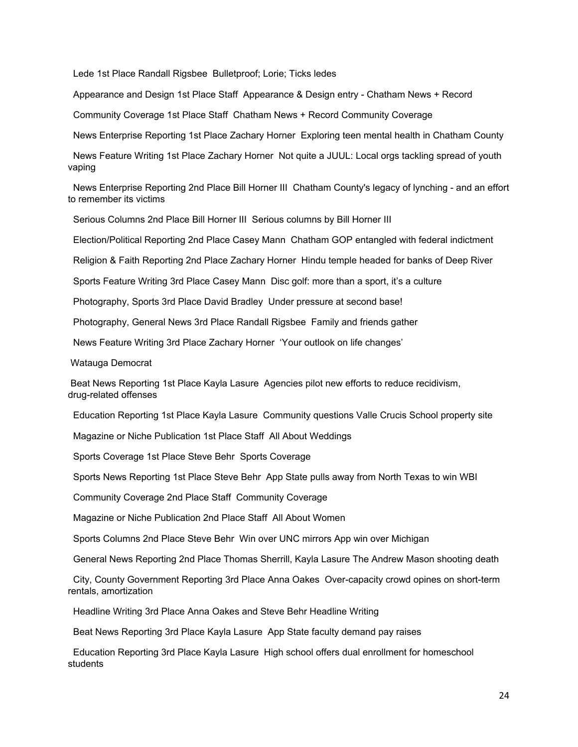Lede 1st Place Randall Rigsbee Bulletproof; Lorie; Ticks ledes

Appearance and Design 1st Place Staff Appearance & Design entry - Chatham News + Record

Community Coverage 1st Place Staff Chatham News + Record Community Coverage

News Enterprise Reporting 1st Place Zachary Horner Exploring teen mental health in Chatham County

News Feature Writing 1st Place Zachary Horner Not quite a JUUL: Local orgs tackling spread of youth vaping

News Enterprise Reporting 2nd Place Bill Horner III Chatham County's legacy of lynching - and an effort to remember its victims

Serious Columns 2nd Place Bill Horner III Serious columns by Bill Horner III

Election/Political Reporting 2nd Place Casey Mann Chatham GOP entangled with federal indictment

Religion & Faith Reporting 2nd Place Zachary Horner Hindu temple headed for banks of Deep River

Sports Feature Writing 3rd Place Casey Mann Disc golf: more than a sport, it's a culture

Photography, Sports 3rd Place David Bradley Under pressure at second base!

Photography, General News 3rd Place Randall Rigsbee Family and friends gather

News Feature Writing 3rd Place Zachary Horner 'Your outlook on life changes'

Watauga Democrat

Beat News Reporting 1st Place Kayla Lasure Agencies pilot new efforts to reduce recidivism, drug-related offenses

Education Reporting 1st Place Kayla Lasure Community questions Valle Crucis School property site

Magazine or Niche Publication 1st Place Staff All About Weddings

Sports Coverage 1st Place Steve Behr Sports Coverage

Sports News Reporting 1st Place Steve Behr App State pulls away from North Texas to win WBI

Community Coverage 2nd Place Staff Community Coverage

Magazine or Niche Publication 2nd Place Staff All About Women

Sports Columns 2nd Place Steve Behr Win over UNC mirrors App win over Michigan

General News Reporting 2nd Place Thomas Sherrill, Kayla Lasure The Andrew Mason shooting death

City, County Government Reporting 3rd Place Anna Oakes Over-capacity crowd opines on short-term rentals, amortization

Headline Writing 3rd Place Anna Oakes and Steve Behr Headline Writing

Beat News Reporting 3rd Place Kayla Lasure App State faculty demand pay raises

Education Reporting 3rd Place Kayla Lasure High school offers dual enrollment for homeschool students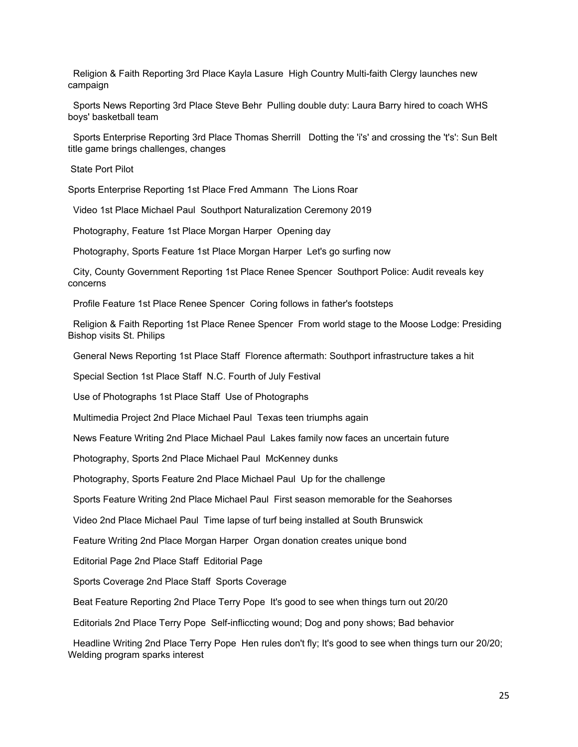Religion & Faith Reporting 3rd Place Kayla Lasure High Country Multi-faith Clergy launches new campaign

Sports News Reporting 3rd Place Steve Behr Pulling double duty: Laura Barry hired to coach WHS boys' basketball team

Sports Enterprise Reporting 3rd Place Thomas Sherrill Dotting the 'i's' and crossing the 't's': Sun Belt title game brings challenges, changes

State Port Pilot

Sports Enterprise Reporting 1st Place Fred Ammann The Lions Roar

Video 1st Place Michael Paul Southport Naturalization Ceremony 2019

Photography, Feature 1st Place Morgan Harper Opening day

Photography, Sports Feature 1st Place Morgan Harper Let's go surfing now

City, County Government Reporting 1st Place Renee Spencer Southport Police: Audit reveals key concerns

Profile Feature 1st Place Renee Spencer Coring follows in father's footsteps

Religion & Faith Reporting 1st Place Renee Spencer From world stage to the Moose Lodge: Presiding Bishop visits St. Philips

General News Reporting 1st Place Staff Florence aftermath: Southport infrastructure takes a hit

Special Section 1st Place Staff N.C. Fourth of July Festival

Use of Photographs 1st Place Staff Use of Photographs

Multimedia Project 2nd Place Michael Paul Texas teen triumphs again

News Feature Writing 2nd Place Michael Paul Lakes family now faces an uncertain future

Photography, Sports 2nd Place Michael Paul McKenney dunks

Photography, Sports Feature 2nd Place Michael Paul Up for the challenge

Sports Feature Writing 2nd Place Michael Paul First season memorable for the Seahorses

Video 2nd Place Michael Paul Time lapse of turf being installed at South Brunswick

Feature Writing 2nd Place Morgan Harper Organ donation creates unique bond

Editorial Page 2nd Place Staff Editorial Page

Sports Coverage 2nd Place Staff Sports Coverage

Beat Feature Reporting 2nd Place Terry Pope It's good to see when things turn out 20/20

Editorials 2nd Place Terry Pope Self-infliccting wound; Dog and pony shows; Bad behavior

Headline Writing 2nd Place Terry Pope Hen rules don't fly; It's good to see when things turn our 20/20; Welding program sparks interest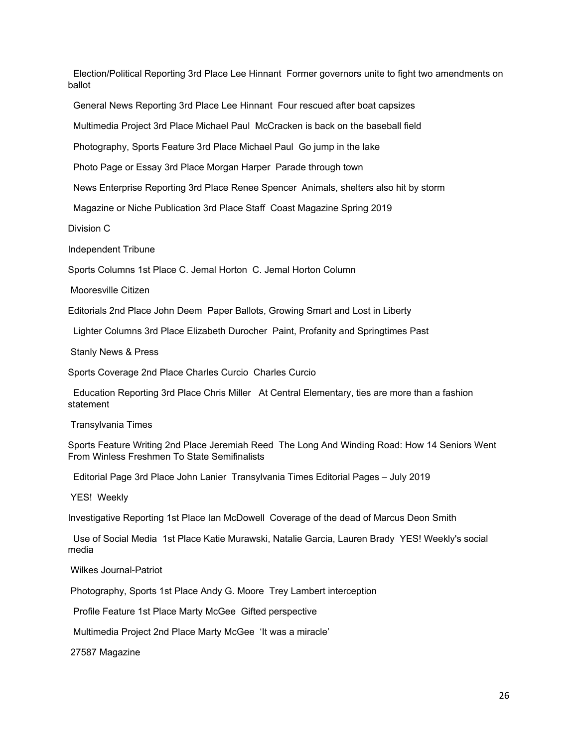Election/Political Reporting 3rd Place Lee Hinnant Former governors unite to fight two amendments on ballot

General News Reporting 3rd Place Lee Hinnant Four rescued after boat capsizes

Multimedia Project 3rd Place Michael Paul McCracken is back on the baseball field

Photography, Sports Feature 3rd Place Michael Paul Go jump in the lake

Photo Page or Essay 3rd Place Morgan Harper Parade through town

News Enterprise Reporting 3rd Place Renee Spencer Animals, shelters also hit by storm

Magazine or Niche Publication 3rd Place Staff Coast Magazine Spring 2019

Division C

Independent Tribune

Sports Columns 1st Place C. Jemal Horton C. Jemal Horton Column

Mooresville Citizen

Editorials 2nd Place John Deem Paper Ballots, Growing Smart and Lost in Liberty

Lighter Columns 3rd Place Elizabeth Durocher Paint, Profanity and Springtimes Past

Stanly News & Press

Sports Coverage 2nd Place Charles Curcio Charles Curcio

Education Reporting 3rd Place Chris Miller At Central Elementary, ties are more than a fashion statement

Transylvania Times

Sports Feature Writing 2nd Place Jeremiah Reed The Long And Winding Road: How 14 Seniors Went From Winless Freshmen To State Semifinalists

Editorial Page 3rd Place John Lanier Transylvania Times Editorial Pages – July 2019

YES! Weekly

Investigative Reporting 1st Place Ian McDowell Coverage of the dead of Marcus Deon Smith

Use of Social Media 1st Place Katie Murawski, Natalie Garcia, Lauren Brady YES! Weekly's social media

Wilkes Journal-Patriot

Photography, Sports 1st Place Andy G. Moore Trey Lambert interception

Profile Feature 1st Place Marty McGee Gifted perspective

Multimedia Project 2nd Place Marty McGee 'It was a miracle'

27587 Magazine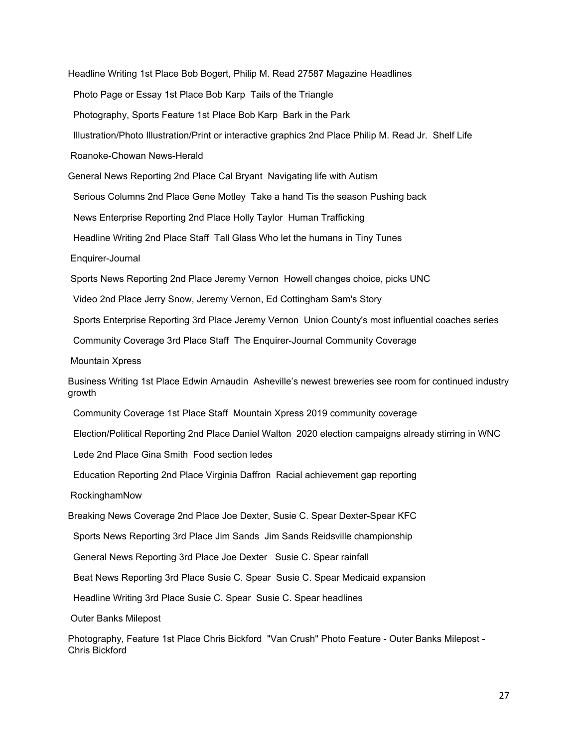Headline Writing 1st Place Bob Bogert, Philip M. Read 27587 Magazine Headlines Photo Page or Essay 1st Place Bob Karp Tails of the Triangle Photography, Sports Feature 1st Place Bob Karp Bark in the Park Illustration/Photo Illustration/Print or interactive graphics 2nd Place Philip M. Read Jr. Shelf Life Roanoke-Chowan News-Herald General News Reporting 2nd Place Cal Bryant Navigating life with Autism Serious Columns 2nd Place Gene Motley Take a hand Tis the season Pushing back News Enterprise Reporting 2nd Place Holly Taylor Human Trafficking Headline Writing 2nd Place Staff Tall Glass Who let the humans in Tiny Tunes Enquirer-Journal Sports News Reporting 2nd Place Jeremy Vernon Howell changes choice, picks UNC Video 2nd Place Jerry Snow, Jeremy Vernon, Ed Cottingham Sam's Story Sports Enterprise Reporting 3rd Place Jeremy Vernon Union County's most influential coaches series Community Coverage 3rd Place Staff The Enquirer-Journal Community Coverage Mountain Xpress Business Writing 1st Place Edwin Arnaudin Asheville's newest breweries see room for continued industry growth Community Coverage 1st Place Staff Mountain Xpress 2019 community coverage Election/Political Reporting 2nd Place Daniel Walton 2020 election campaigns already stirring in WNC Lede 2nd Place Gina Smith Food section ledes Education Reporting 2nd Place Virginia Daffron Racial achievement gap reporting RockinghamNow Breaking News Coverage 2nd Place Joe Dexter, Susie C. Spear Dexter-Spear KFC Sports News Reporting 3rd Place Jim Sands Jim Sands Reidsville championship General News Reporting 3rd Place Joe Dexter Susie C. Spear rainfall Beat News Reporting 3rd Place Susie C. Spear Susie C. Spear Medicaid expansion Headline Writing 3rd Place Susie C. Spear Susie C. Spear headlines Outer Banks Milepost Photography, Feature 1st Place Chris Bickford "Van Crush" Photo Feature - Outer Banks Milepost -

Chris Bickford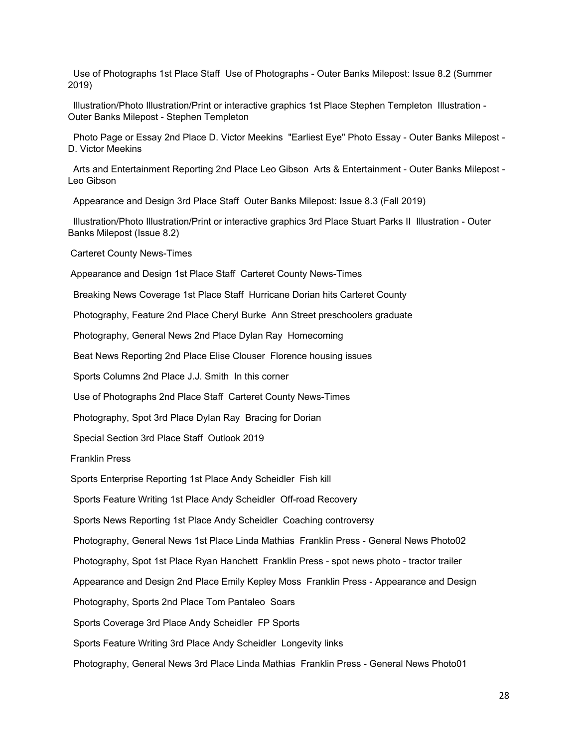Use of Photographs 1st Place Staff Use of Photographs - Outer Banks Milepost: Issue 8.2 (Summer 2019)

Illustration/Photo Illustration/Print or interactive graphics 1st Place Stephen Templeton Illustration - Outer Banks Milepost - Stephen Templeton

Photo Page or Essay 2nd Place D. Victor Meekins "Earliest Eye" Photo Essay - Outer Banks Milepost - D. Victor Meekins

Arts and Entertainment Reporting 2nd Place Leo Gibson Arts & Entertainment - Outer Banks Milepost - Leo Gibson

Appearance and Design 3rd Place Staff Outer Banks Milepost: Issue 8.3 (Fall 2019)

Illustration/Photo Illustration/Print or interactive graphics 3rd Place Stuart Parks II Illustration - Outer Banks Milepost (Issue 8.2)

Carteret County News-Times

Appearance and Design 1st Place Staff Carteret County News-Times

Breaking News Coverage 1st Place Staff Hurricane Dorian hits Carteret County

Photography, Feature 2nd Place Cheryl Burke Ann Street preschoolers graduate

Photography, General News 2nd Place Dylan Ray Homecoming

Beat News Reporting 2nd Place Elise Clouser Florence housing issues

Sports Columns 2nd Place J.J. Smith In this corner

Use of Photographs 2nd Place Staff Carteret County News-Times

Photography, Spot 3rd Place Dylan Ray Bracing for Dorian

Special Section 3rd Place Staff Outlook 2019

Franklin Press

Sports Enterprise Reporting 1st Place Andy Scheidler Fish kill

Sports Feature Writing 1st Place Andy Scheidler Off-road Recovery

Sports News Reporting 1st Place Andy Scheidler Coaching controversy

Photography, General News 1st Place Linda Mathias Franklin Press - General News Photo02

Photography, Spot 1st Place Ryan Hanchett Franklin Press - spot news photo - tractor trailer

Appearance and Design 2nd Place Emily Kepley Moss Franklin Press - Appearance and Design

Photography, Sports 2nd Place Tom Pantaleo Soars

Sports Coverage 3rd Place Andy Scheidler FP Sports

Sports Feature Writing 3rd Place Andy Scheidler Longevity links

Photography, General News 3rd Place Linda Mathias Franklin Press - General News Photo01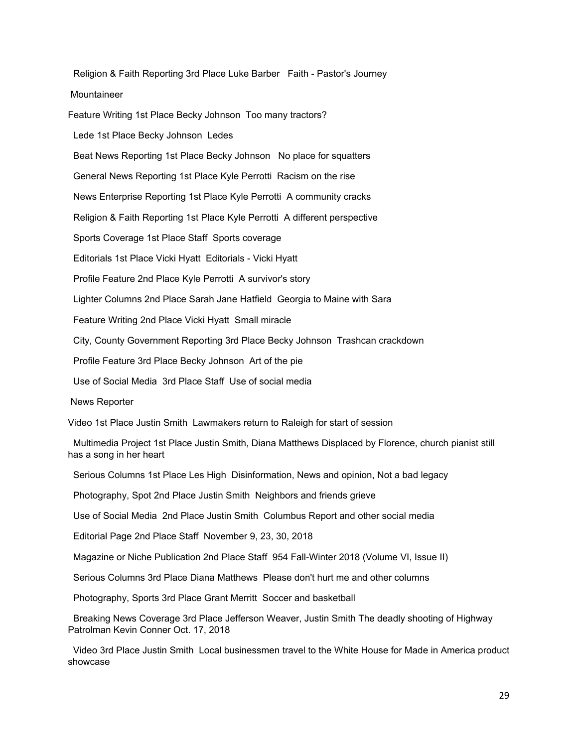Religion & Faith Reporting 3rd Place Luke Barber Faith - Pastor's Journey Mountaineer Feature Writing 1st Place Becky Johnson Too many tractors?

Lede 1st Place Becky Johnson Ledes

Beat News Reporting 1st Place Becky Johnson No place for squatters

General News Reporting 1st Place Kyle Perrotti Racism on the rise

News Enterprise Reporting 1st Place Kyle Perrotti A community cracks

Religion & Faith Reporting 1st Place Kyle Perrotti A different perspective

Sports Coverage 1st Place Staff Sports coverage

Editorials 1st Place Vicki Hyatt Editorials - Vicki Hyatt

Profile Feature 2nd Place Kyle Perrotti A survivor's story

Lighter Columns 2nd Place Sarah Jane Hatfield Georgia to Maine with Sara

Feature Writing 2nd Place Vicki Hyatt Small miracle

City, County Government Reporting 3rd Place Becky Johnson Trashcan crackdown

Profile Feature 3rd Place Becky Johnson Art of the pie

Use of Social Media 3rd Place Staff Use of social media

News Reporter

Video 1st Place Justin Smith Lawmakers return to Raleigh for start of session

Multimedia Project 1st Place Justin Smith, Diana Matthews Displaced by Florence, church pianist still has a song in her heart

Serious Columns 1st Place Les High Disinformation, News and opinion, Not a bad legacy

Photography, Spot 2nd Place Justin Smith Neighbors and friends grieve

Use of Social Media 2nd Place Justin Smith Columbus Report and other social media

Editorial Page 2nd Place Staff November 9, 23, 30, 2018

Magazine or Niche Publication 2nd Place Staff 954 Fall-Winter 2018 (Volume VI, Issue II)

Serious Columns 3rd Place Diana Matthews Please don't hurt me and other columns

Photography, Sports 3rd Place Grant Merritt Soccer and basketball

Breaking News Coverage 3rd Place Jefferson Weaver, Justin Smith The deadly shooting of Highway Patrolman Kevin Conner Oct. 17, 2018

Video 3rd Place Justin Smith Local businessmen travel to the White House for Made in America product showcase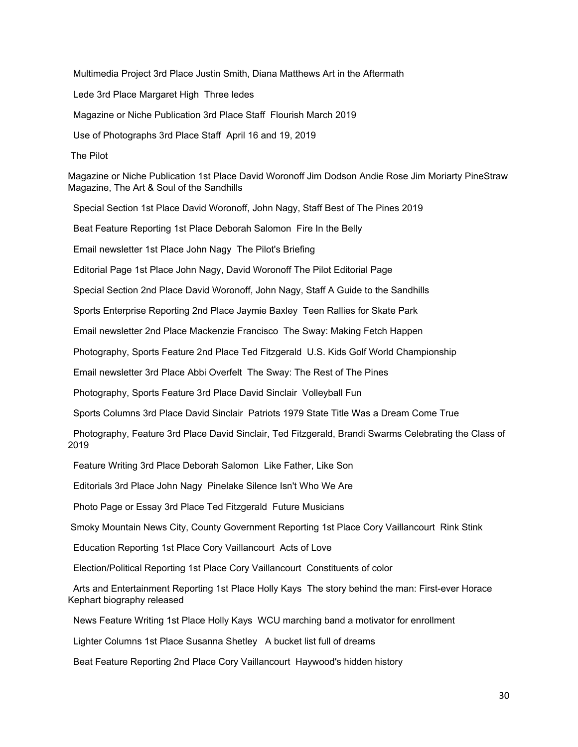Multimedia Project 3rd Place Justin Smith, Diana Matthews Art in the Aftermath Lede 3rd Place Margaret High Three ledes Magazine or Niche Publication 3rd Place Staff Flourish March 2019 Use of Photographs 3rd Place Staff April 16 and 19, 2019 The Pilot Magazine or Niche Publication 1st Place David Woronoff Jim Dodson Andie Rose Jim Moriarty PineStraw Magazine, The Art & Soul of the Sandhills Special Section 1st Place David Woronoff, John Nagy, Staff Best of The Pines 2019 Beat Feature Reporting 1st Place Deborah Salomon Fire In the Belly Email newsletter 1st Place John Nagy The Pilot's Briefing Editorial Page 1st Place John Nagy, David Woronoff The Pilot Editorial Page Special Section 2nd Place David Woronoff, John Nagy, Staff A Guide to the Sandhills Sports Enterprise Reporting 2nd Place Jaymie Baxley Teen Rallies for Skate Park Email newsletter 2nd Place Mackenzie Francisco The Sway: Making Fetch Happen Photography, Sports Feature 2nd Place Ted Fitzgerald U.S. Kids Golf World Championship Email newsletter 3rd Place Abbi Overfelt The Sway: The Rest of The Pines Photography, Sports Feature 3rd Place David Sinclair Volleyball Fun Sports Columns 3rd Place David Sinclair Patriots 1979 State Title Was a Dream Come True Photography, Feature 3rd Place David Sinclair, Ted Fitzgerald, Brandi Swarms Celebrating the Class of 2019 Feature Writing 3rd Place Deborah Salomon Like Father, Like Son Editorials 3rd Place John Nagy Pinelake Silence Isn't Who We Are Photo Page or Essay 3rd Place Ted Fitzgerald Future Musicians Smoky Mountain News City, County Government Reporting 1st Place Cory Vaillancourt Rink Stink Education Reporting 1st Place Cory Vaillancourt Acts of Love Election/Political Reporting 1st Place Cory Vaillancourt Constituents of color Arts and Entertainment Reporting 1st Place Holly Kays The story behind the man: First-ever Horace Kephart biography released

News Feature Writing 1st Place Holly Kays WCU marching band a motivator for enrollment

Lighter Columns 1st Place Susanna Shetley A bucket list full of dreams

Beat Feature Reporting 2nd Place Cory Vaillancourt Haywood's hidden history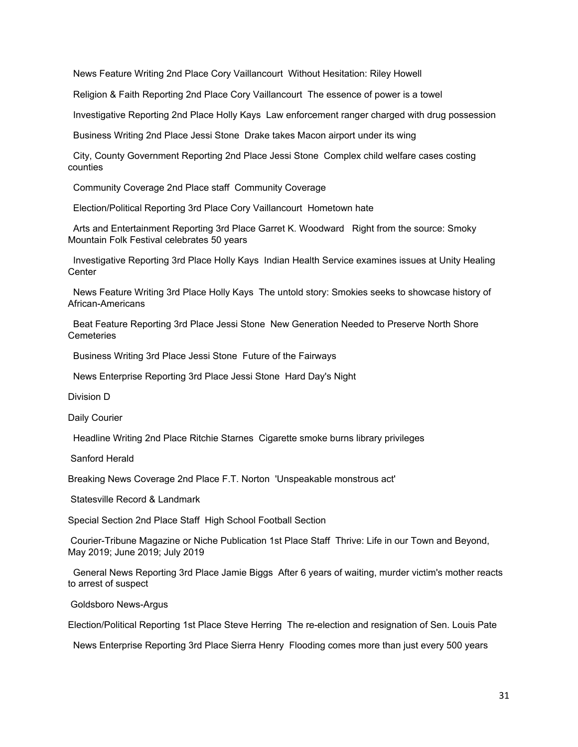News Feature Writing 2nd Place Cory Vaillancourt Without Hesitation: Riley Howell

Religion & Faith Reporting 2nd Place Cory Vaillancourt The essence of power is a towel

Investigative Reporting 2nd Place Holly Kays Law enforcement ranger charged with drug possession

Business Writing 2nd Place Jessi Stone Drake takes Macon airport under its wing

City, County Government Reporting 2nd Place Jessi Stone Complex child welfare cases costing counties

Community Coverage 2nd Place staff Community Coverage

Election/Political Reporting 3rd Place Cory Vaillancourt Hometown hate

Arts and Entertainment Reporting 3rd Place Garret K. Woodward Right from the source: Smoky Mountain Folk Festival celebrates 50 years

Investigative Reporting 3rd Place Holly Kays Indian Health Service examines issues at Unity Healing **Center** 

News Feature Writing 3rd Place Holly Kays The untold story: Smokies seeks to showcase history of African-Americans

Beat Feature Reporting 3rd Place Jessi Stone New Generation Needed to Preserve North Shore **Cemeteries** 

Business Writing 3rd Place Jessi Stone Future of the Fairways

News Enterprise Reporting 3rd Place Jessi Stone Hard Day's Night

Division D

Daily Courier

Headline Writing 2nd Place Ritchie Starnes Cigarette smoke burns library privileges

Sanford Herald

Breaking News Coverage 2nd Place F.T. Norton 'Unspeakable monstrous act'

Statesville Record & Landmark

Special Section 2nd Place Staff High School Football Section

Courier-Tribune Magazine or Niche Publication 1st Place Staff Thrive: Life in our Town and Beyond, May 2019; June 2019; July 2019

General News Reporting 3rd Place Jamie Biggs After 6 years of waiting, murder victim's mother reacts to arrest of suspect

Goldsboro News-Argus

Election/Political Reporting 1st Place Steve Herring The re-election and resignation of Sen. Louis Pate

News Enterprise Reporting 3rd Place Sierra Henry Flooding comes more than just every 500 years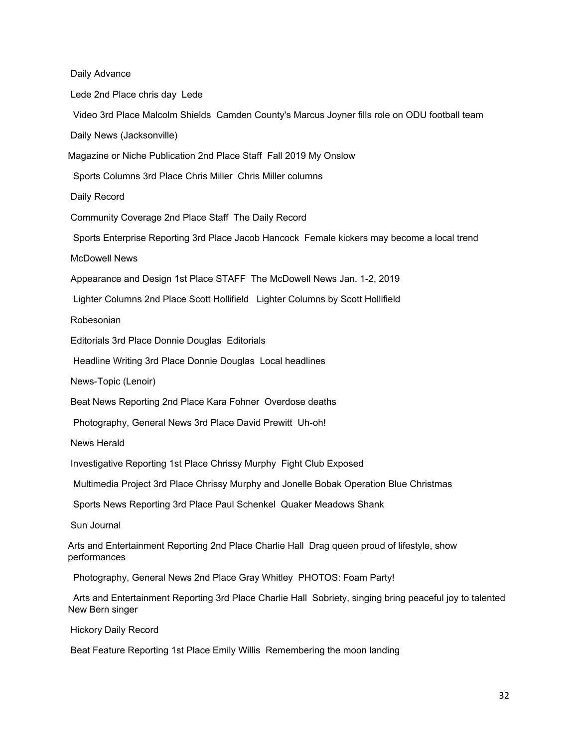Daily Advance Lede 2nd Place chris day Lede Video 3rd Place Malcolm Shields Camden County's Marcus Joyner fills role on ODU football team Daily News (Jacksonville) Magazine or Niche Publication 2nd Place Staff Fall 2019 My Onslow Sports Columns 3rd Place Chris Miller Chris Miller columns Daily Record Community Coverage 2nd Place Staff The Daily Record Sports Enterprise Reporting 3rd Place Jacob Hancock Female kickers may become a local trend McDowell News Appearance and Design 1st Place STAFF The McDowell News Jan. 1-2, 2019 Lighter Columns 2nd Place Scott Hollifield Lighter Columns by Scott Hollifield Robesonian Editorials 3rd Place Donnie Douglas Editorials Headline Writing 3rd Place Donnie Douglas Local headlines News-Topic (Lenoir) Beat News Reporting 2nd Place Kara Fohner Overdose deaths Photography, General News 3rd Place David Prewitt Uh-oh! News Herald Investigative Reporting 1st Place Chrissy Murphy Fight Club Exposed Multimedia Project 3rd Place Chrissy Murphy and Jonelle Bobak Operation Blue Christmas Sports News Reporting 3rd Place Paul Schenkel Quaker Meadows Shank Sun Journal Arts and Entertainment Reporting 2nd Place Charlie Hall Drag queen proud of lifestyle, show performances Photography, General News 2nd Place Gray Whitley PHOTOS: Foam Party! Arts and Entertainment Reporting 3rd Place Charlie Hall Sobriety, singing bring peaceful joy to talented New Bern singer

Hickory Daily Record

Beat Feature Reporting 1st Place Emily Willis Remembering the moon landing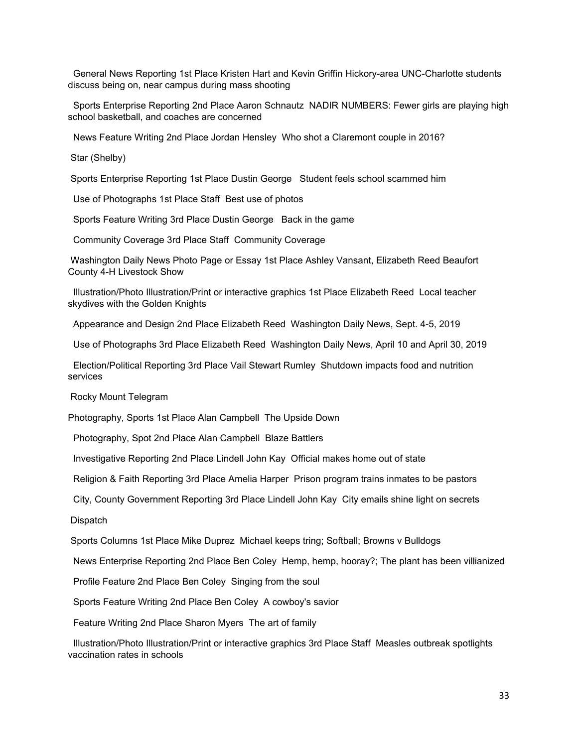General News Reporting 1st Place Kristen Hart and Kevin Griffin Hickory-area UNC-Charlotte students discuss being on, near campus during mass shooting

Sports Enterprise Reporting 2nd Place Aaron Schnautz NADIR NUMBERS: Fewer girls are playing high school basketball, and coaches are concerned

News Feature Writing 2nd Place Jordan Hensley Who shot a Claremont couple in 2016?

Star (Shelby)

Sports Enterprise Reporting 1st Place Dustin George Student feels school scammed him

Use of Photographs 1st Place Staff Best use of photos

Sports Feature Writing 3rd Place Dustin George Back in the game

Community Coverage 3rd Place Staff Community Coverage

Washington Daily News Photo Page or Essay 1st Place Ashley Vansant, Elizabeth Reed Beaufort County 4-H Livestock Show

Illustration/Photo Illustration/Print or interactive graphics 1st Place Elizabeth Reed Local teacher skydives with the Golden Knights

Appearance and Design 2nd Place Elizabeth Reed Washington Daily News, Sept. 4-5, 2019

Use of Photographs 3rd Place Elizabeth Reed Washington Daily News, April 10 and April 30, 2019

Election/Political Reporting 3rd Place Vail Stewart Rumley Shutdown impacts food and nutrition services

Rocky Mount Telegram

Photography, Sports 1st Place Alan Campbell The Upside Down

Photography, Spot 2nd Place Alan Campbell Blaze Battlers

Investigative Reporting 2nd Place Lindell John Kay Official makes home out of state

Religion & Faith Reporting 3rd Place Amelia Harper Prison program trains inmates to be pastors

City, County Government Reporting 3rd Place Lindell John Kay City emails shine light on secrets

**Dispatch** 

Sports Columns 1st Place Mike Duprez Michael keeps tring; Softball; Browns v Bulldogs

News Enterprise Reporting 2nd Place Ben Coley Hemp, hemp, hooray?; The plant has been villianized

Profile Feature 2nd Place Ben Coley Singing from the soul

Sports Feature Writing 2nd Place Ben Coley A cowboy's savior

Feature Writing 2nd Place Sharon Myers The art of family

Illustration/Photo Illustration/Print or interactive graphics 3rd Place Staff Measles outbreak spotlights vaccination rates in schools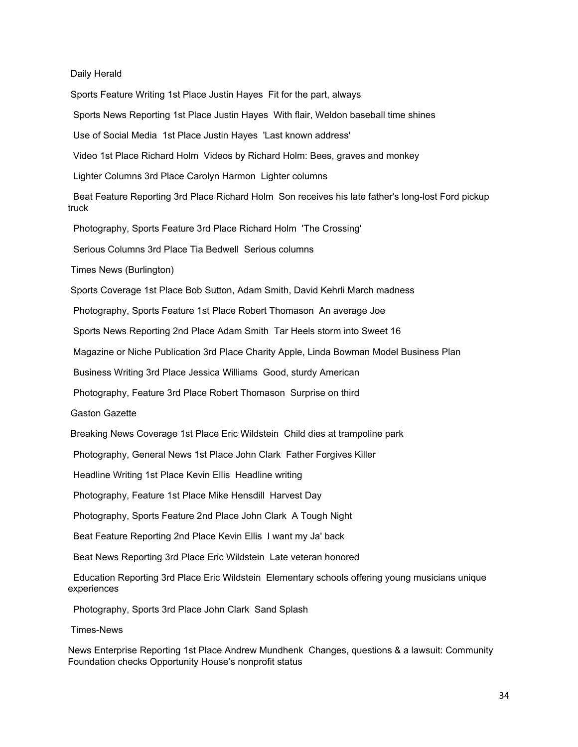Daily Herald

Sports Feature Writing 1st Place Justin Hayes Fit for the part, always

Sports News Reporting 1st Place Justin Hayes With flair, Weldon baseball time shines

Use of Social Media 1st Place Justin Hayes 'Last known address'

Video 1st Place Richard Holm Videos by Richard Holm: Bees, graves and monkey

Lighter Columns 3rd Place Carolyn Harmon Lighter columns

Beat Feature Reporting 3rd Place Richard Holm Son receives his late father's long-lost Ford pickup truck

Photography, Sports Feature 3rd Place Richard Holm 'The Crossing'

Serious Columns 3rd Place Tia Bedwell Serious columns

Times News (Burlington)

Sports Coverage 1st Place Bob Sutton, Adam Smith, David Kehrli March madness

Photography, Sports Feature 1st Place Robert Thomason An average Joe

Sports News Reporting 2nd Place Adam Smith Tar Heels storm into Sweet 16

Magazine or Niche Publication 3rd Place Charity Apple, Linda Bowman Model Business Plan

Business Writing 3rd Place Jessica Williams Good, sturdy American

Photography, Feature 3rd Place Robert Thomason Surprise on third

Gaston Gazette

Breaking News Coverage 1st Place Eric Wildstein Child dies at trampoline park

Photography, General News 1st Place John Clark Father Forgives Killer

Headline Writing 1st Place Kevin Ellis Headline writing

Photography, Feature 1st Place Mike Hensdill Harvest Day

Photography, Sports Feature 2nd Place John Clark A Tough Night

Beat Feature Reporting 2nd Place Kevin Ellis I want my Ja' back

Beat News Reporting 3rd Place Eric Wildstein Late veteran honored

Education Reporting 3rd Place Eric Wildstein Elementary schools offering young musicians unique experiences

Photography, Sports 3rd Place John Clark Sand Splash

Times-News

News Enterprise Reporting 1st Place Andrew Mundhenk Changes, questions & a lawsuit: Community Foundation checks Opportunity House's nonprofit status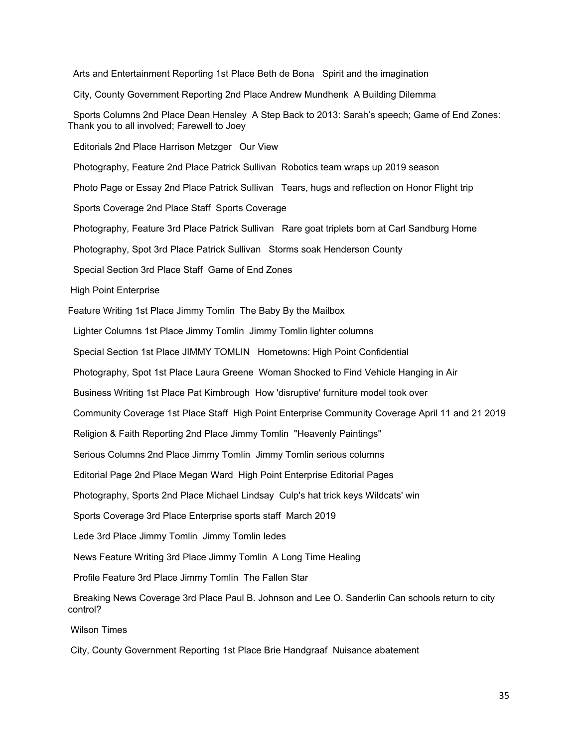Arts and Entertainment Reporting 1st Place Beth de Bona Spirit and the imagination City, County Government Reporting 2nd Place Andrew Mundhenk A Building Dilemma Sports Columns 2nd Place Dean Hensley A Step Back to 2013: Sarah's speech; Game of End Zones: Thank you to all involved; Farewell to Joey Editorials 2nd Place Harrison Metzger Our View Photography, Feature 2nd Place Patrick Sullivan Robotics team wraps up 2019 season Photo Page or Essay 2nd Place Patrick Sullivan Tears, hugs and reflection on Honor Flight trip Sports Coverage 2nd Place Staff Sports Coverage Photography, Feature 3rd Place Patrick Sullivan Rare goat triplets born at Carl Sandburg Home Photography, Spot 3rd Place Patrick Sullivan Storms soak Henderson County Special Section 3rd Place Staff Game of End Zones High Point Enterprise Feature Writing 1st Place Jimmy Tomlin The Baby By the Mailbox Lighter Columns 1st Place Jimmy Tomlin Jimmy Tomlin lighter columns Special Section 1st Place JIMMY TOMLIN Hometowns: High Point Confidential Photography, Spot 1st Place Laura Greene Woman Shocked to Find Vehicle Hanging in Air Business Writing 1st Place Pat Kimbrough How 'disruptive' furniture model took over Community Coverage 1st Place Staff High Point Enterprise Community Coverage April 11 and 21 2019 Religion & Faith Reporting 2nd Place Jimmy Tomlin "Heavenly Paintings" Serious Columns 2nd Place Jimmy Tomlin Jimmy Tomlin serious columns Editorial Page 2nd Place Megan Ward High Point Enterprise Editorial Pages Photography, Sports 2nd Place Michael Lindsay Culp's hat trick keys Wildcats' win Sports Coverage 3rd Place Enterprise sports staff March 2019 Lede 3rd Place Jimmy Tomlin Jimmy Tomlin ledes News Feature Writing 3rd Place Jimmy Tomlin A Long Time Healing Profile Feature 3rd Place Jimmy Tomlin The Fallen Star Breaking News Coverage 3rd Place Paul B. Johnson and Lee O. Sanderlin Can schools return to city control? Wilson Times

City, County Government Reporting 1st Place Brie Handgraaf Nuisance abatement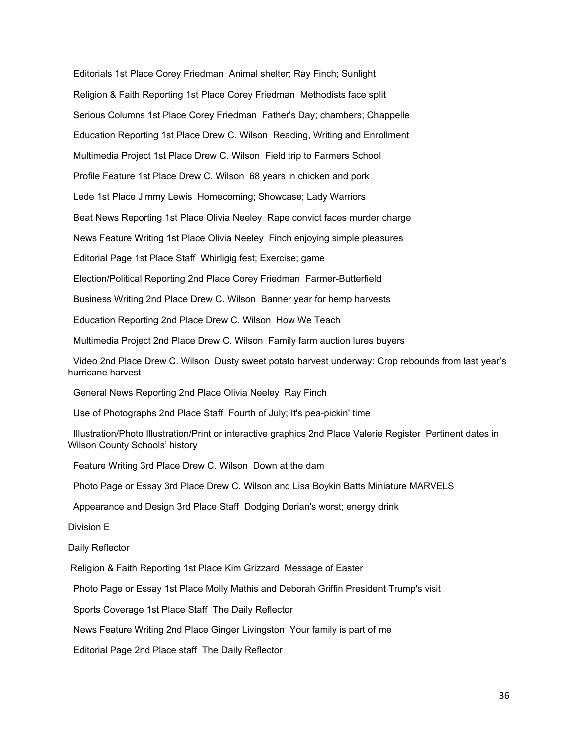Editorials 1st Place Corey Friedman Animal shelter; Ray Finch; Sunlight Religion & Faith Reporting 1st Place Corey Friedman Methodists face split Serious Columns 1st Place Corey Friedman Father's Day; chambers; Chappelle Education Reporting 1st Place Drew C. Wilson Reading, Writing and Enrollment Multimedia Project 1st Place Drew C. Wilson Field trip to Farmers School Profile Feature 1st Place Drew C. Wilson 68 years in chicken and pork Lede 1st Place Jimmy Lewis Homecoming; Showcase; Lady Warriors Beat News Reporting 1st Place Olivia Neeley Rape convict faces murder charge News Feature Writing 1st Place Olivia Neeley Finch enjoying simple pleasures Editorial Page 1st Place Staff Whirligig fest; Exercise; game Election/Political Reporting 2nd Place Corey Friedman Farmer-Butterfield Business Writing 2nd Place Drew C. Wilson Banner year for hemp harvests Education Reporting 2nd Place Drew C. Wilson How We Teach Multimedia Project 2nd Place Drew C. Wilson Family farm auction lures buyers Video 2nd Place Drew C. Wilson Dusty sweet potato harvest underway: Crop rebounds from last year's hurricane harvest General News Reporting 2nd Place Olivia Neeley Ray Finch Use of Photographs 2nd Place Staff Fourth of July; It's pea-pickin' time Illustration/Photo Illustration/Print or interactive graphics 2nd Place Valerie Register Pertinent dates in Wilson County Schools' history Feature Writing 3rd Place Drew C. Wilson Down at the dam Photo Page or Essay 3rd Place Drew C. Wilson and Lisa Boykin Batts Miniature MARVELS

Appearance and Design 3rd Place Staff Dodging Dorian's worst; energy drink

Division E

Daily Reflector

Religion & Faith Reporting 1st Place Kim Grizzard Message of Easter

Photo Page or Essay 1st Place Molly Mathis and Deborah Griffin President Trump's visit

Sports Coverage 1st Place Staff The Daily Reflector

News Feature Writing 2nd Place Ginger Livingston Your family is part of me

Editorial Page 2nd Place staff The Daily Reflector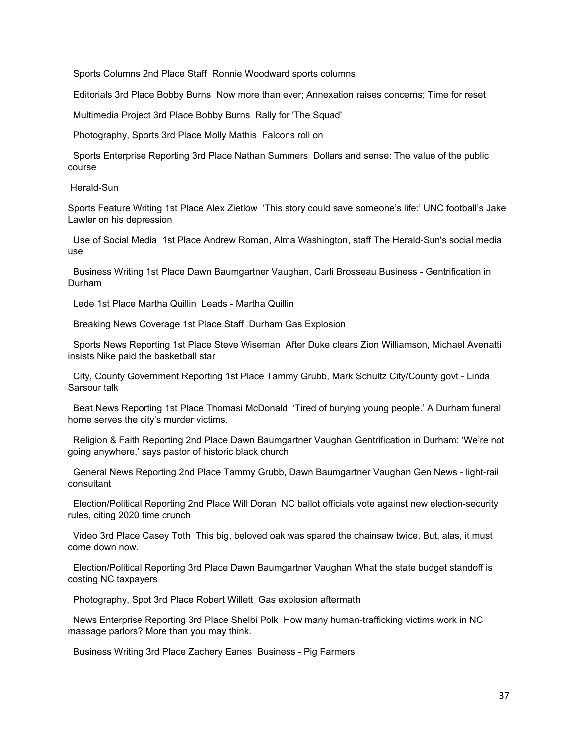Sports Columns 2nd Place Staff Ronnie Woodward sports columns

Editorials 3rd Place Bobby Burns Now more than ever; Annexation raises concerns; Time for reset

Multimedia Project 3rd Place Bobby Burns Rally for 'The Squad'

Photography, Sports 3rd Place Molly Mathis Falcons roll on

Sports Enterprise Reporting 3rd Place Nathan Summers Dollars and sense: The value of the public course

Herald-Sun

Sports Feature Writing 1st Place Alex Zietlow 'This story could save someone's life:' UNC football's Jake Lawler on his depression

Use of Social Media 1st Place Andrew Roman, Alma Washington, staff The Herald-Sun's social media use

Business Writing 1st Place Dawn Baumgartner Vaughan, Carli Brosseau Business - Gentrification in Durham

Lede 1st Place Martha Quillin Leads - Martha Quillin

Breaking News Coverage 1st Place Staff Durham Gas Explosion

Sports News Reporting 1st Place Steve Wiseman After Duke clears Zion Williamson, Michael Avenatti insists Nike paid the basketball star

City, County Government Reporting 1st Place Tammy Grubb, Mark Schultz City/County govt - Linda Sarsour talk

Beat News Reporting 1st Place Thomasi McDonald 'Tired of burying young people.' A Durham funeral home serves the city's murder victims.

Religion & Faith Reporting 2nd Place Dawn Baumgartner Vaughan Gentrification in Durham: 'We're not going anywhere,' says pastor of historic black church

General News Reporting 2nd Place Tammy Grubb, Dawn Baumgartner Vaughan Gen News - light-rail consultant

Election/Political Reporting 2nd Place Will Doran NC ballot officials vote against new election-security rules, citing 2020 time crunch

Video 3rd Place Casey Toth This big, beloved oak was spared the chainsaw twice. But, alas, it must come down now.

Election/Political Reporting 3rd Place Dawn Baumgartner Vaughan What the state budget standoff is costing NC taxpayers

Photography, Spot 3rd Place Robert Willett Gas explosion aftermath

News Enterprise Reporting 3rd Place Shelbi Polk How many human-trafficking victims work in NC massage parlors? More than you may think.

Business Writing 3rd Place Zachery Eanes Business - Pig Farmers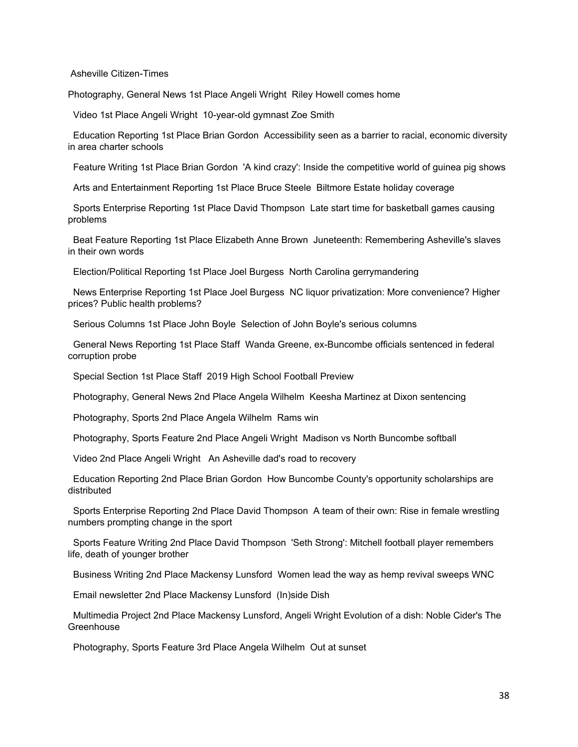Asheville Citizen-Times

Photography, General News 1st Place Angeli Wright Riley Howell comes home

Video 1st Place Angeli Wright 10-year-old gymnast Zoe Smith

Education Reporting 1st Place Brian Gordon Accessibility seen as a barrier to racial, economic diversity in area charter schools

Feature Writing 1st Place Brian Gordon 'A kind crazy': Inside the competitive world of guinea pig shows

Arts and Entertainment Reporting 1st Place Bruce Steele Biltmore Estate holiday coverage

Sports Enterprise Reporting 1st Place David Thompson Late start time for basketball games causing problems

Beat Feature Reporting 1st Place Elizabeth Anne Brown Juneteenth: Remembering Asheville's slaves in their own words

Election/Political Reporting 1st Place Joel Burgess North Carolina gerrymandering

News Enterprise Reporting 1st Place Joel Burgess NC liquor privatization: More convenience? Higher prices? Public health problems?

Serious Columns 1st Place John Boyle Selection of John Boyle's serious columns

General News Reporting 1st Place Staff Wanda Greene, ex-Buncombe officials sentenced in federal corruption probe

Special Section 1st Place Staff 2019 High School Football Preview

Photography, General News 2nd Place Angela Wilhelm Keesha Martinez at Dixon sentencing

Photography, Sports 2nd Place Angela Wilhelm Rams win

Photography, Sports Feature 2nd Place Angeli Wright Madison vs North Buncombe softball

Video 2nd Place Angeli Wright An Asheville dad's road to recovery

Education Reporting 2nd Place Brian Gordon How Buncombe County's opportunity scholarships are distributed

Sports Enterprise Reporting 2nd Place David Thompson A team of their own: Rise in female wrestling numbers prompting change in the sport

Sports Feature Writing 2nd Place David Thompson 'Seth Strong': Mitchell football player remembers life, death of younger brother

Business Writing 2nd Place Mackensy Lunsford Women lead the way as hemp revival sweeps WNC

Email newsletter 2nd Place Mackensy Lunsford (In)side Dish

Multimedia Project 2nd Place Mackensy Lunsford, Angeli Wright Evolution of a dish: Noble Cider's The **Greenhouse** 

Photography, Sports Feature 3rd Place Angela Wilhelm Out at sunset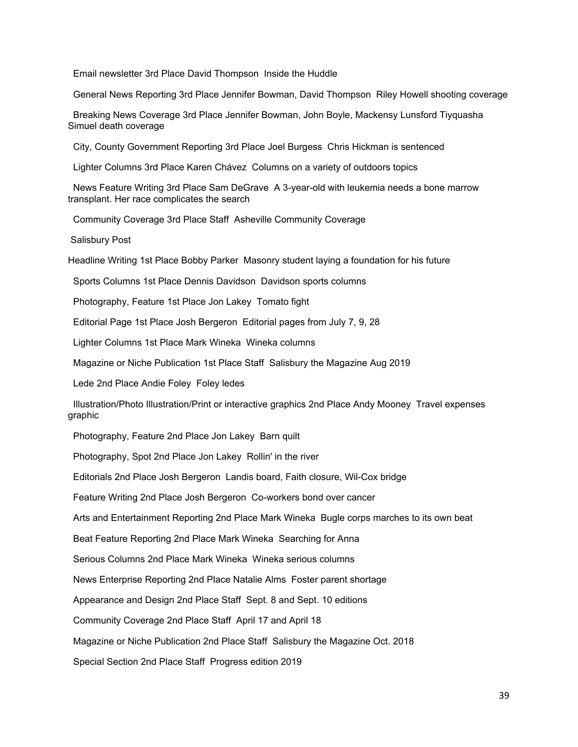Email newsletter 3rd Place David Thompson Inside the Huddle

General News Reporting 3rd Place Jennifer Bowman, David Thompson Riley Howell shooting coverage

Breaking News Coverage 3rd Place Jennifer Bowman, John Boyle, Mackensy Lunsford Tiyquasha Simuel death coverage

City, County Government Reporting 3rd Place Joel Burgess Chris Hickman is sentenced

Lighter Columns 3rd Place Karen Chávez Columns on a variety of outdoors topics

News Feature Writing 3rd Place Sam DeGrave A 3-year-old with leukemia needs a bone marrow transplant. Her race complicates the search

Community Coverage 3rd Place Staff Asheville Community Coverage

Salisbury Post

Headline Writing 1st Place Bobby Parker Masonry student laying a foundation for his future

Sports Columns 1st Place Dennis Davidson Davidson sports columns

Photography, Feature 1st Place Jon Lakey Tomato fight

Editorial Page 1st Place Josh Bergeron Editorial pages from July 7, 9, 28

Lighter Columns 1st Place Mark Wineka Wineka columns

Magazine or Niche Publication 1st Place Staff Salisbury the Magazine Aug 2019

Lede 2nd Place Andie Foley Foley ledes

Illustration/Photo Illustration/Print or interactive graphics 2nd Place Andy Mooney Travel expenses graphic

Photography, Feature 2nd Place Jon Lakey Barn quilt

Photography, Spot 2nd Place Jon Lakey Rollin' in the river

Editorials 2nd Place Josh Bergeron Landis board, Faith closure, Wil-Cox bridge

Feature Writing 2nd Place Josh Bergeron Co-workers bond over cancer

Arts and Entertainment Reporting 2nd Place Mark Wineka Bugle corps marches to its own beat

Beat Feature Reporting 2nd Place Mark Wineka Searching for Anna

Serious Columns 2nd Place Mark Wineka Wineka serious columns

News Enterprise Reporting 2nd Place Natalie Alms Foster parent shortage

Appearance and Design 2nd Place Staff Sept. 8 and Sept. 10 editions

Community Coverage 2nd Place Staff April 17 and April 18

Magazine or Niche Publication 2nd Place Staff Salisbury the Magazine Oct. 2018

Special Section 2nd Place Staff Progress edition 2019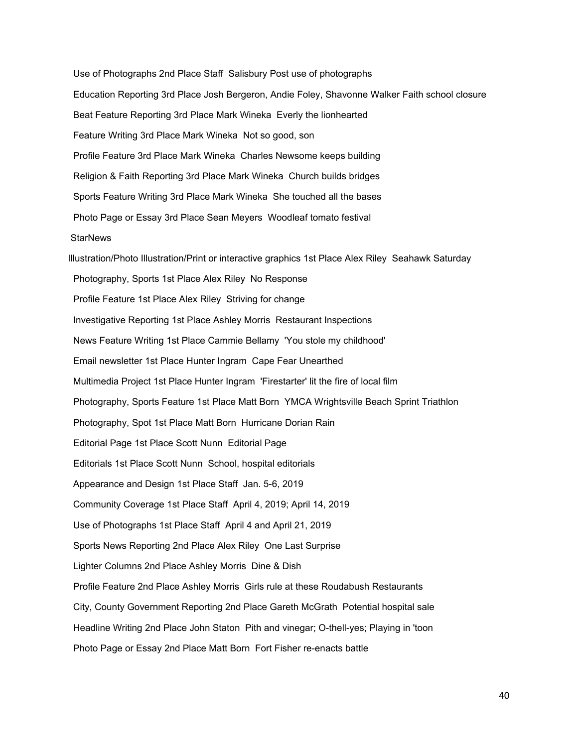Use of Photographs 2nd Place Staff Salisbury Post use of photographs Education Reporting 3rd Place Josh Bergeron, Andie Foley, Shavonne Walker Faith school closure Beat Feature Reporting 3rd Place Mark Wineka Everly the lionhearted Feature Writing 3rd Place Mark Wineka Not so good, son Profile Feature 3rd Place Mark Wineka Charles Newsome keeps building Religion & Faith Reporting 3rd Place Mark Wineka Church builds bridges Sports Feature Writing 3rd Place Mark Wineka She touched all the bases Photo Page or Essay 3rd Place Sean Meyers Woodleaf tomato festival **StarNews** Illustration/Photo Illustration/Print or interactive graphics 1st Place Alex Riley Seahawk Saturday Photography, Sports 1st Place Alex Riley No Response Profile Feature 1st Place Alex Riley Striving for change Investigative Reporting 1st Place Ashley Morris Restaurant Inspections News Feature Writing 1st Place Cammie Bellamy 'You stole my childhood' Email newsletter 1st Place Hunter Ingram Cape Fear Unearthed Multimedia Project 1st Place Hunter Ingram 'Firestarter' lit the fire of local film Photography, Sports Feature 1st Place Matt Born YMCA Wrightsville Beach Sprint Triathlon Photography, Spot 1st Place Matt Born Hurricane Dorian Rain Editorial Page 1st Place Scott Nunn Editorial Page Editorials 1st Place Scott Nunn School, hospital editorials Appearance and Design 1st Place Staff Jan. 5-6, 2019 Community Coverage 1st Place Staff April 4, 2019; April 14, 2019 Use of Photographs 1st Place Staff April 4 and April 21, 2019 Sports News Reporting 2nd Place Alex Riley One Last Surprise Lighter Columns 2nd Place Ashley Morris Dine & Dish Profile Feature 2nd Place Ashley Morris Girls rule at these Roudabush Restaurants City, County Government Reporting 2nd Place Gareth McGrath Potential hospital sale Headline Writing 2nd Place John Staton Pith and vinegar; O-thell-yes; Playing in 'toon Photo Page or Essay 2nd Place Matt Born Fort Fisher re-enacts battle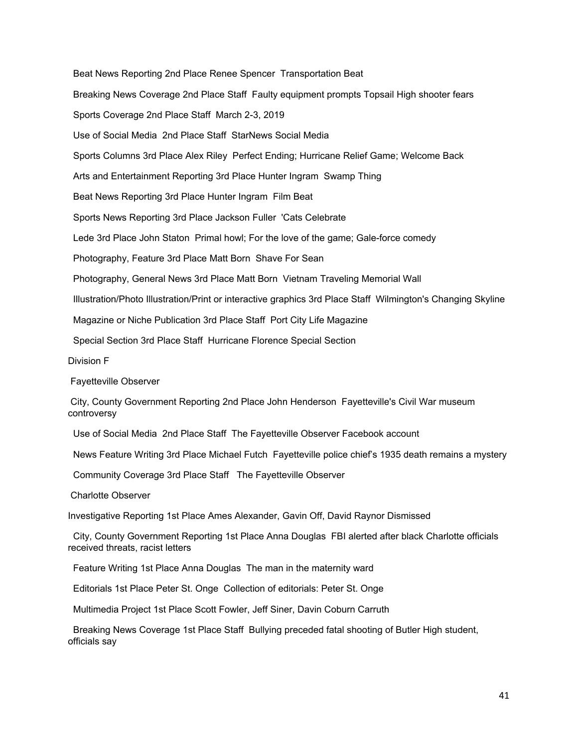Beat News Reporting 2nd Place Renee Spencer Transportation Beat Breaking News Coverage 2nd Place Staff Faulty equipment prompts Topsail High shooter fears Sports Coverage 2nd Place Staff March 2-3, 2019 Use of Social Media 2nd Place Staff StarNews Social Media Sports Columns 3rd Place Alex Riley Perfect Ending; Hurricane Relief Game; Welcome Back Arts and Entertainment Reporting 3rd Place Hunter Ingram Swamp Thing Beat News Reporting 3rd Place Hunter Ingram Film Beat Sports News Reporting 3rd Place Jackson Fuller 'Cats Celebrate Lede 3rd Place John Staton Primal howl; For the love of the game; Gale-force comedy Photography, Feature 3rd Place Matt Born Shave For Sean Photography, General News 3rd Place Matt Born Vietnam Traveling Memorial Wall Illustration/Photo Illustration/Print or interactive graphics 3rd Place Staff Wilmington's Changing Skyline Magazine or Niche Publication 3rd Place Staff Port City Life Magazine Special Section 3rd Place Staff Hurricane Florence Special Section Division F Fayetteville Observer

City, County Government Reporting 2nd Place John Henderson Fayetteville's Civil War museum controversy

Use of Social Media 2nd Place Staff The Fayetteville Observer Facebook account

News Feature Writing 3rd Place Michael Futch Fayetteville police chief's 1935 death remains a mystery

Community Coverage 3rd Place Staff The Fayetteville Observer

Charlotte Observer

Investigative Reporting 1st Place Ames Alexander, Gavin Off, David Raynor Dismissed

City, County Government Reporting 1st Place Anna Douglas FBI alerted after black Charlotte officials received threats, racist letters

Feature Writing 1st Place Anna Douglas The man in the maternity ward

Editorials 1st Place Peter St. Onge Collection of editorials: Peter St. Onge

Multimedia Project 1st Place Scott Fowler, Jeff Siner, Davin Coburn Carruth

Breaking News Coverage 1st Place Staff Bullying preceded fatal shooting of Butler High student, officials say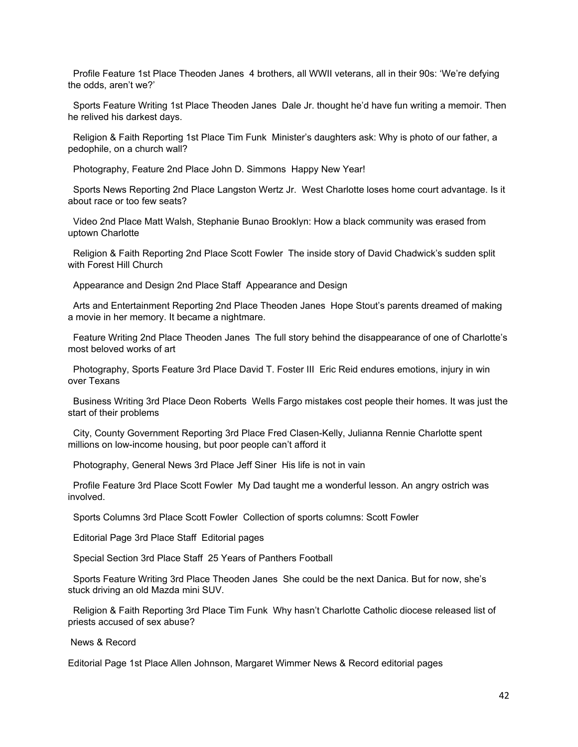Profile Feature 1st Place Theoden Janes 4 brothers, all WWII veterans, all in their 90s: 'We're defying the odds, aren't we?'

Sports Feature Writing 1st Place Theoden Janes Dale Jr. thought he'd have fun writing a memoir. Then he relived his darkest days.

Religion & Faith Reporting 1st Place Tim Funk Minister's daughters ask: Why is photo of our father, a pedophile, on a church wall?

Photography, Feature 2nd Place John D. Simmons Happy New Year!

Sports News Reporting 2nd Place Langston Wertz Jr. West Charlotte loses home court advantage. Is it about race or too few seats?

Video 2nd Place Matt Walsh, Stephanie Bunao Brooklyn: How a black community was erased from uptown Charlotte

Religion & Faith Reporting 2nd Place Scott Fowler The inside story of David Chadwick's sudden split with Forest Hill Church

Appearance and Design 2nd Place Staff Appearance and Design

Arts and Entertainment Reporting 2nd Place Theoden Janes Hope Stout's parents dreamed of making a movie in her memory. It became a nightmare.

Feature Writing 2nd Place Theoden Janes The full story behind the disappearance of one of Charlotte's most beloved works of art

Photography, Sports Feature 3rd Place David T. Foster III Eric Reid endures emotions, injury in win over Texans

Business Writing 3rd Place Deon Roberts Wells Fargo mistakes cost people their homes. It was just the start of their problems

City, County Government Reporting 3rd Place Fred Clasen-Kelly, Julianna Rennie Charlotte spent millions on low-income housing, but poor people can't afford it

Photography, General News 3rd Place Jeff Siner His life is not in vain

Profile Feature 3rd Place Scott Fowler My Dad taught me a wonderful lesson. An angry ostrich was involved.

Sports Columns 3rd Place Scott Fowler Collection of sports columns: Scott Fowler

Editorial Page 3rd Place Staff Editorial pages

Special Section 3rd Place Staff 25 Years of Panthers Football

Sports Feature Writing 3rd Place Theoden Janes She could be the next Danica. But for now, she's stuck driving an old Mazda mini SUV.

Religion & Faith Reporting 3rd Place Tim Funk Why hasn't Charlotte Catholic diocese released list of priests accused of sex abuse?

News & Record

Editorial Page 1st Place Allen Johnson, Margaret Wimmer News & Record editorial pages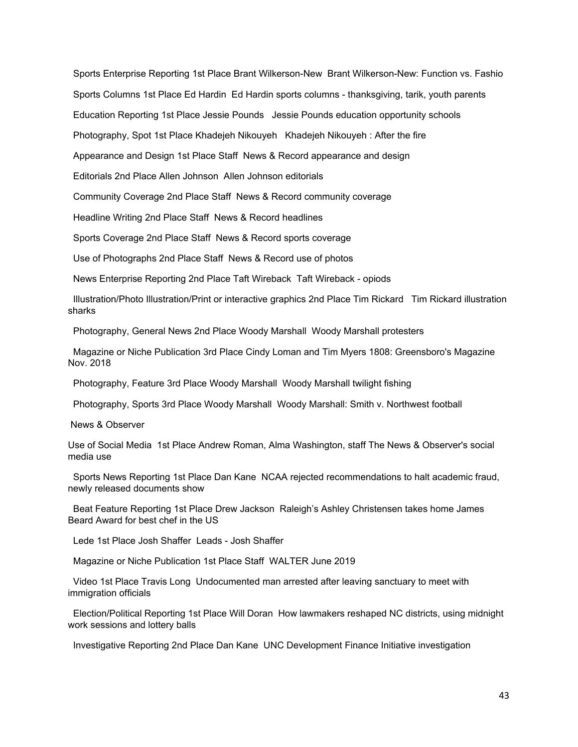Sports Enterprise Reporting 1st Place Brant Wilkerson-New Brant Wilkerson-New: Function vs. Fashio Sports Columns 1st Place Ed Hardin Ed Hardin sports columns - thanksgiving, tarik, youth parents Education Reporting 1st Place Jessie Pounds Jessie Pounds education opportunity schools Photography, Spot 1st Place Khadejeh Nikouyeh Khadejeh Nikouyeh : After the fire Appearance and Design 1st Place Staff News & Record appearance and design Editorials 2nd Place Allen Johnson Allen Johnson editorials

Community Coverage 2nd Place Staff News & Record community coverage

Headline Writing 2nd Place Staff News & Record headlines

Sports Coverage 2nd Place Staff News & Record sports coverage

Use of Photographs 2nd Place Staff News & Record use of photos

News Enterprise Reporting 2nd Place Taft Wireback Taft Wireback - opiods

Illustration/Photo Illustration/Print or interactive graphics 2nd Place Tim Rickard Tim Rickard illustration sharks

Photography, General News 2nd Place Woody Marshall Woody Marshall protesters

Magazine or Niche Publication 3rd Place Cindy Loman and Tim Myers 1808: Greensboro's Magazine Nov. 2018

Photography, Feature 3rd Place Woody Marshall Woody Marshall twilight fishing

Photography, Sports 3rd Place Woody Marshall Woody Marshall: Smith v. Northwest football

News & Observer

Use of Social Media 1st Place Andrew Roman, Alma Washington, staff The News & Observer's social media use

Sports News Reporting 1st Place Dan Kane NCAA rejected recommendations to halt academic fraud, newly released documents show

Beat Feature Reporting 1st Place Drew Jackson Raleigh's Ashley Christensen takes home James Beard Award for best chef in the US

Lede 1st Place Josh Shaffer Leads - Josh Shaffer

Magazine or Niche Publication 1st Place Staff WALTER June 2019

Video 1st Place Travis Long Undocumented man arrested after leaving sanctuary to meet with immigration officials

Election/Political Reporting 1st Place Will Doran How lawmakers reshaped NC districts, using midnight work sessions and lottery balls

Investigative Reporting 2nd Place Dan Kane UNC Development Finance Initiative investigation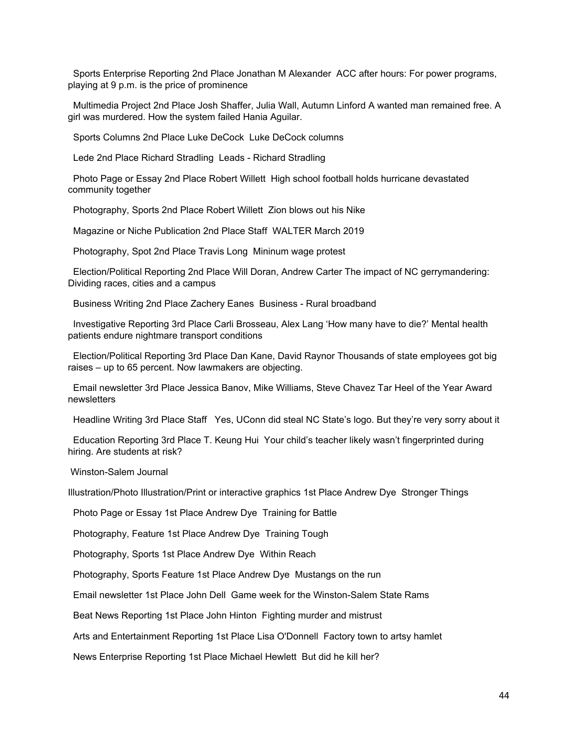Sports Enterprise Reporting 2nd Place Jonathan M Alexander ACC after hours: For power programs, playing at 9 p.m. is the price of prominence

Multimedia Project 2nd Place Josh Shaffer, Julia Wall, Autumn Linford A wanted man remained free. A girl was murdered. How the system failed Hania Aguilar.

Sports Columns 2nd Place Luke DeCock Luke DeCock columns

Lede 2nd Place Richard Stradling Leads - Richard Stradling

Photo Page or Essay 2nd Place Robert Willett High school football holds hurricane devastated community together

Photography, Sports 2nd Place Robert Willett Zion blows out his Nike

Magazine or Niche Publication 2nd Place Staff WALTER March 2019

Photography, Spot 2nd Place Travis Long Mininum wage protest

Election/Political Reporting 2nd Place Will Doran, Andrew Carter The impact of NC gerrymandering: Dividing races, cities and a campus

Business Writing 2nd Place Zachery Eanes Business - Rural broadband

Investigative Reporting 3rd Place Carli Brosseau, Alex Lang 'How many have to die?' Mental health patients endure nightmare transport conditions

Election/Political Reporting 3rd Place Dan Kane, David Raynor Thousands of state employees got big raises – up to 65 percent. Now lawmakers are objecting.

Email newsletter 3rd Place Jessica Banov, Mike Williams, Steve Chavez Tar Heel of the Year Award newsletters

Headline Writing 3rd Place Staff Yes, UConn did steal NC State's logo. But they're very sorry about it

Education Reporting 3rd Place T. Keung Hui Your child's teacher likely wasn't fingerprinted during hiring. Are students at risk?

Winston-Salem Journal

Illustration/Photo Illustration/Print or interactive graphics 1st Place Andrew Dye Stronger Things

Photo Page or Essay 1st Place Andrew Dye Training for Battle

Photography, Feature 1st Place Andrew Dye Training Tough

Photography, Sports 1st Place Andrew Dye Within Reach

Photography, Sports Feature 1st Place Andrew Dye Mustangs on the run

Email newsletter 1st Place John Dell Game week for the Winston-Salem State Rams

Beat News Reporting 1st Place John Hinton Fighting murder and mistrust

Arts and Entertainment Reporting 1st Place Lisa O'Donnell Factory town to artsy hamlet

News Enterprise Reporting 1st Place Michael Hewlett But did he kill her?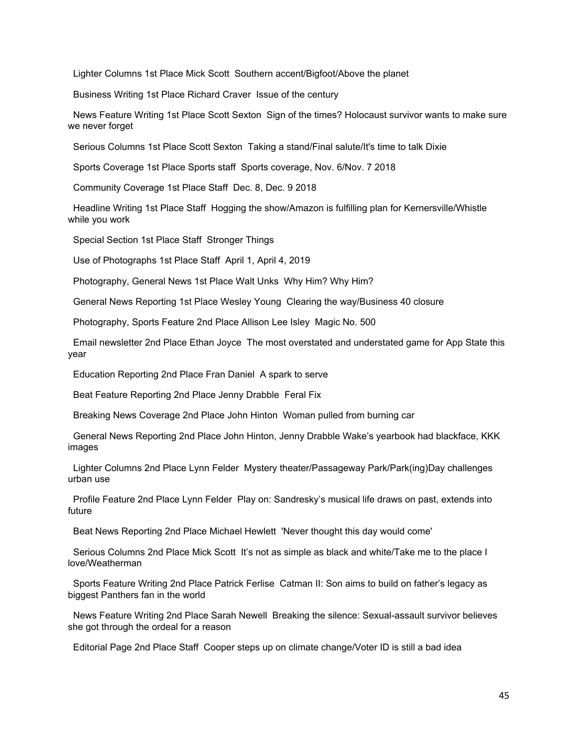Lighter Columns 1st Place Mick Scott Southern accent/Bigfoot/Above the planet

Business Writing 1st Place Richard Craver Issue of the century

News Feature Writing 1st Place Scott Sexton Sign of the times? Holocaust survivor wants to make sure we never forget

Serious Columns 1st Place Scott Sexton Taking a stand/Final salute/It's time to talk Dixie

Sports Coverage 1st Place Sports staff Sports coverage, Nov. 6/Nov. 7 2018

Community Coverage 1st Place Staff Dec. 8, Dec. 9 2018

Headline Writing 1st Place Staff Hogging the show/Amazon is fulfilling plan for Kernersville/Whistle while you work

Special Section 1st Place Staff Stronger Things

Use of Photographs 1st Place Staff April 1, April 4, 2019

Photography, General News 1st Place Walt Unks Why Him? Why Him?

General News Reporting 1st Place Wesley Young Clearing the way/Business 40 closure

Photography, Sports Feature 2nd Place Allison Lee Isley Magic No. 500

Email newsletter 2nd Place Ethan Joyce The most overstated and understated game for App State this year

Education Reporting 2nd Place Fran Daniel A spark to serve

Beat Feature Reporting 2nd Place Jenny Drabble Feral Fix

Breaking News Coverage 2nd Place John Hinton Woman pulled from burning car

General News Reporting 2nd Place John Hinton, Jenny Drabble Wake's yearbook had blackface, KKK images

Lighter Columns 2nd Place Lynn Felder Mystery theater/Passageway Park/Park(ing)Day challenges urban use

Profile Feature 2nd Place Lynn Felder Play on: Sandresky's musical life draws on past, extends into future

Beat News Reporting 2nd Place Michael Hewlett 'Never thought this day would come'

Serious Columns 2nd Place Mick Scott It's not as simple as black and white/Take me to the place I love/Weatherman

Sports Feature Writing 2nd Place Patrick Ferlise Catman II: Son aims to build on father's legacy as biggest Panthers fan in the world

News Feature Writing 2nd Place Sarah Newell Breaking the silence: Sexual-assault survivor believes she got through the ordeal for a reason

Editorial Page 2nd Place Staff Cooper steps up on climate change/Voter ID is still a bad idea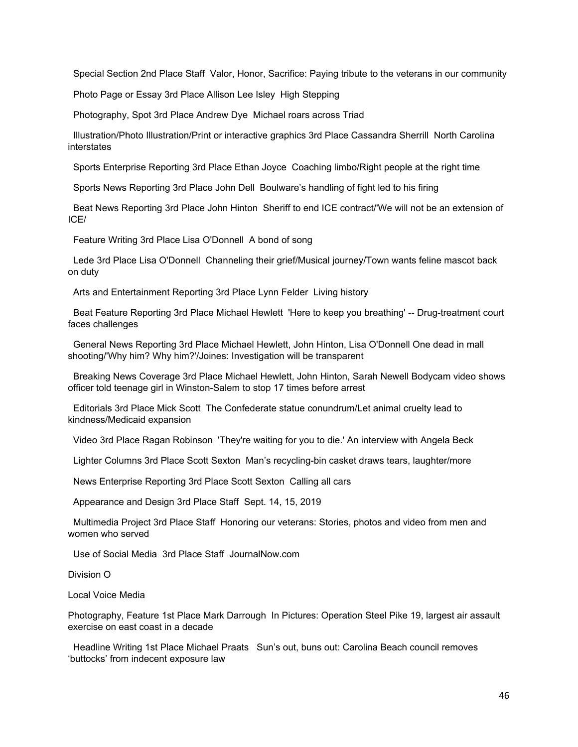Special Section 2nd Place Staff Valor, Honor, Sacrifice: Paying tribute to the veterans in our community

Photo Page or Essay 3rd Place Allison Lee Isley High Stepping

Photography, Spot 3rd Place Andrew Dye Michael roars across Triad

Illustration/Photo Illustration/Print or interactive graphics 3rd Place Cassandra Sherrill North Carolina interstates

Sports Enterprise Reporting 3rd Place Ethan Joyce Coaching limbo/Right people at the right time

Sports News Reporting 3rd Place John Dell Boulware's handling of fight led to his firing

Beat News Reporting 3rd Place John Hinton Sheriff to end ICE contract/'We will not be an extension of ICE/

Feature Writing 3rd Place Lisa O'Donnell A bond of song

Lede 3rd Place Lisa O'Donnell Channeling their grief/Musical journey/Town wants feline mascot back on duty

Arts and Entertainment Reporting 3rd Place Lynn Felder Living history

Beat Feature Reporting 3rd Place Michael Hewlett 'Here to keep you breathing' -- Drug-treatment court faces challenges

General News Reporting 3rd Place Michael Hewlett, John Hinton, Lisa O'Donnell One dead in mall shooting/'Why him? Why him?'/Joines: Investigation will be transparent

Breaking News Coverage 3rd Place Michael Hewlett, John Hinton, Sarah Newell Bodycam video shows officer told teenage girl in Winston-Salem to stop 17 times before arrest

Editorials 3rd Place Mick Scott The Confederate statue conundrum/Let animal cruelty lead to kindness/Medicaid expansion

Video 3rd Place Ragan Robinson 'They're waiting for you to die.' An interview with Angela Beck

Lighter Columns 3rd Place Scott Sexton Man's recycling-bin casket draws tears, laughter/more

News Enterprise Reporting 3rd Place Scott Sexton Calling all cars

Appearance and Design 3rd Place Staff Sept. 14, 15, 2019

Multimedia Project 3rd Place Staff Honoring our veterans: Stories, photos and video from men and women who served

Use of Social Media 3rd Place Staff JournalNow.com

Division O

Local Voice Media

Photography, Feature 1st Place Mark Darrough In Pictures: Operation Steel Pike 19, largest air assault exercise on east coast in a decade

Headline Writing 1st Place Michael Praats Sun's out, buns out: Carolina Beach council removes 'buttocks' from indecent exposure law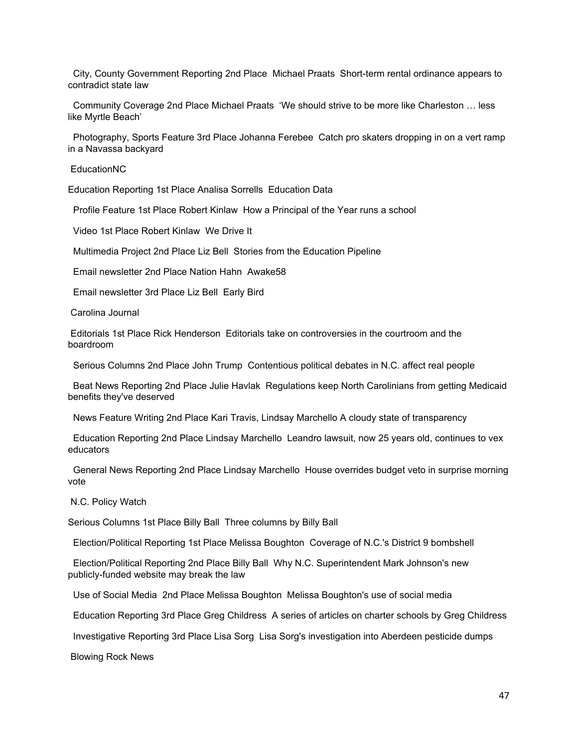City, County Government Reporting 2nd Place Michael Praats Short-term rental ordinance appears to contradict state law

Community Coverage 2nd Place Michael Praats 'We should strive to be more like Charleston … less like Myrtle Beach'

Photography, Sports Feature 3rd Place Johanna Ferebee Catch pro skaters dropping in on a vert ramp in a Navassa backyard

EducationNC

Education Reporting 1st Place Analisa Sorrells Education Data

Profile Feature 1st Place Robert Kinlaw How a Principal of the Year runs a school

Video 1st Place Robert Kinlaw We Drive It

Multimedia Project 2nd Place Liz Bell Stories from the Education Pipeline

Email newsletter 2nd Place Nation Hahn Awake58

Email newsletter 3rd Place Liz Bell Early Bird

Carolina Journal

Editorials 1st Place Rick Henderson Editorials take on controversies in the courtroom and the boardroom

Serious Columns 2nd Place John Trump Contentious political debates in N.C. affect real people

Beat News Reporting 2nd Place Julie Havlak Regulations keep North Carolinians from getting Medicaid benefits they've deserved

News Feature Writing 2nd Place Kari Travis, Lindsay Marchello A cloudy state of transparency

Education Reporting 2nd Place Lindsay Marchello Leandro lawsuit, now 25 years old, continues to vex educators

General News Reporting 2nd Place Lindsay Marchello House overrides budget veto in surprise morning vote

N.C. Policy Watch

Serious Columns 1st Place Billy Ball Three columns by Billy Ball

Election/Political Reporting 1st Place Melissa Boughton Coverage of N.C.'s District 9 bombshell

Election/Political Reporting 2nd Place Billy Ball Why N.C. Superintendent Mark Johnson's new publicly-funded website may break the law

Use of Social Media 2nd Place Melissa Boughton Melissa Boughton's use of social media

Education Reporting 3rd Place Greg Childress A series of articles on charter schools by Greg Childress

Investigative Reporting 3rd Place Lisa Sorg Lisa Sorg's investigation into Aberdeen pesticide dumps

Blowing Rock News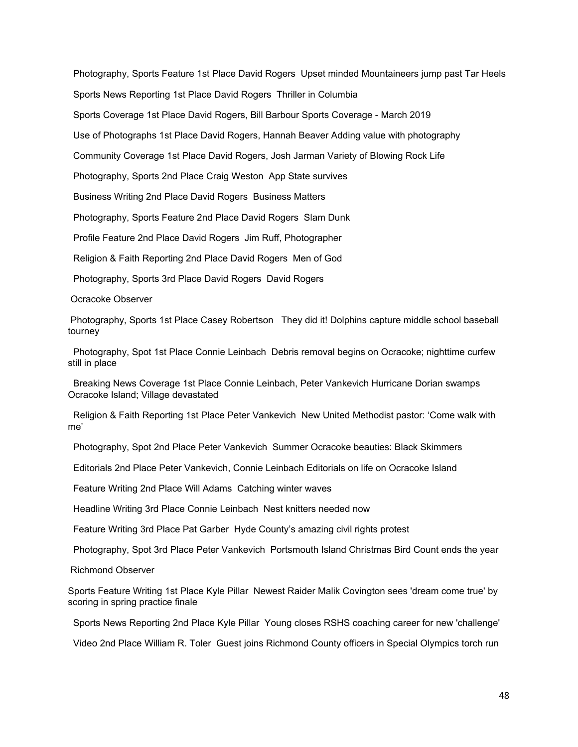Photography, Sports Feature 1st Place David Rogers Upset minded Mountaineers jump past Tar Heels Sports News Reporting 1st Place David Rogers Thriller in Columbia Sports Coverage 1st Place David Rogers, Bill Barbour Sports Coverage - March 2019 Use of Photographs 1st Place David Rogers, Hannah Beaver Adding value with photography Community Coverage 1st Place David Rogers, Josh Jarman Variety of Blowing Rock Life Photography, Sports 2nd Place Craig Weston App State survives Business Writing 2nd Place David Rogers Business Matters Photography, Sports Feature 2nd Place David Rogers Slam Dunk Profile Feature 2nd Place David Rogers Jim Ruff, Photographer Religion & Faith Reporting 2nd Place David Rogers Men of God Photography, Sports 3rd Place David Rogers David Rogers

Ocracoke Observer

Photography, Sports 1st Place Casey Robertson They did it! Dolphins capture middle school baseball tourney

Photography, Spot 1st Place Connie Leinbach Debris removal begins on Ocracoke; nighttime curfew still in place

Breaking News Coverage 1st Place Connie Leinbach, Peter Vankevich Hurricane Dorian swamps Ocracoke Island; Village devastated

Religion & Faith Reporting 1st Place Peter Vankevich New United Methodist pastor: 'Come walk with me'

Photography, Spot 2nd Place Peter Vankevich Summer Ocracoke beauties: Black Skimmers

Editorials 2nd Place Peter Vankevich, Connie Leinbach Editorials on life on Ocracoke Island

Feature Writing 2nd Place Will Adams Catching winter waves

Headline Writing 3rd Place Connie Leinbach Nest knitters needed now

Feature Writing 3rd Place Pat Garber Hyde County's amazing civil rights protest

Photography, Spot 3rd Place Peter Vankevich Portsmouth Island Christmas Bird Count ends the year

Richmond Observer

Sports Feature Writing 1st Place Kyle Pillar Newest Raider Malik Covington sees 'dream come true' by scoring in spring practice finale

Sports News Reporting 2nd Place Kyle Pillar Young closes RSHS coaching career for new 'challenge'

Video 2nd Place William R. Toler Guest joins Richmond County officers in Special Olympics torch run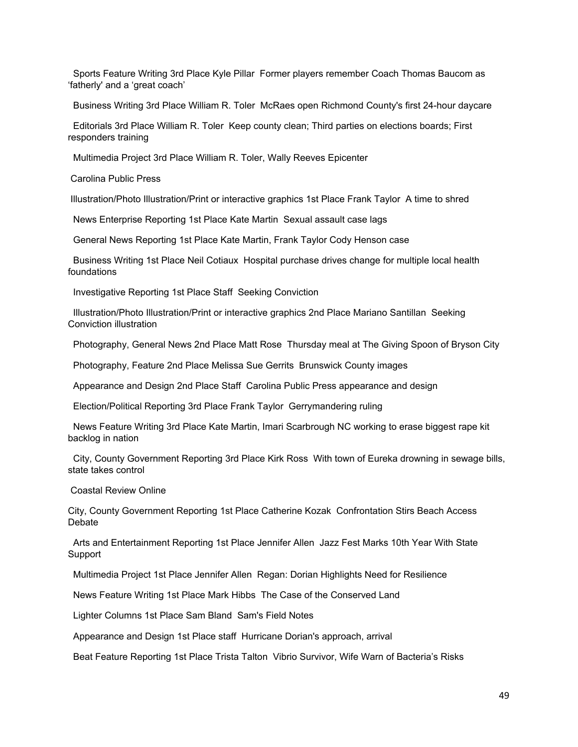Sports Feature Writing 3rd Place Kyle Pillar Former players remember Coach Thomas Baucom as 'fatherly' and a 'great coach'

Business Writing 3rd Place William R. Toler McRaes open Richmond County's first 24-hour daycare

Editorials 3rd Place William R. Toler Keep county clean; Third parties on elections boards; First responders training

Multimedia Project 3rd Place William R. Toler, Wally Reeves Epicenter

Carolina Public Press

Illustration/Photo Illustration/Print or interactive graphics 1st Place Frank Taylor A time to shred

News Enterprise Reporting 1st Place Kate Martin Sexual assault case lags

General News Reporting 1st Place Kate Martin, Frank Taylor Cody Henson case

Business Writing 1st Place Neil Cotiaux Hospital purchase drives change for multiple local health foundations

Investigative Reporting 1st Place Staff Seeking Conviction

Illustration/Photo Illustration/Print or interactive graphics 2nd Place Mariano Santillan Seeking Conviction illustration

Photography, General News 2nd Place Matt Rose Thursday meal at The Giving Spoon of Bryson City

Photography, Feature 2nd Place Melissa Sue Gerrits Brunswick County images

Appearance and Design 2nd Place Staff Carolina Public Press appearance and design

Election/Political Reporting 3rd Place Frank Taylor Gerrymandering ruling

News Feature Writing 3rd Place Kate Martin, Imari Scarbrough NC working to erase biggest rape kit backlog in nation

City, County Government Reporting 3rd Place Kirk Ross With town of Eureka drowning in sewage bills, state takes control

Coastal Review Online

City, County Government Reporting 1st Place Catherine Kozak Confrontation Stirs Beach Access **Debate** 

Arts and Entertainment Reporting 1st Place Jennifer Allen Jazz Fest Marks 10th Year With State **Support** 

Multimedia Project 1st Place Jennifer Allen Regan: Dorian Highlights Need for Resilience

News Feature Writing 1st Place Mark Hibbs The Case of the Conserved Land

Lighter Columns 1st Place Sam Bland Sam's Field Notes

Appearance and Design 1st Place staff Hurricane Dorian's approach, arrival

Beat Feature Reporting 1st Place Trista Talton Vibrio Survivor, Wife Warn of Bacteria's Risks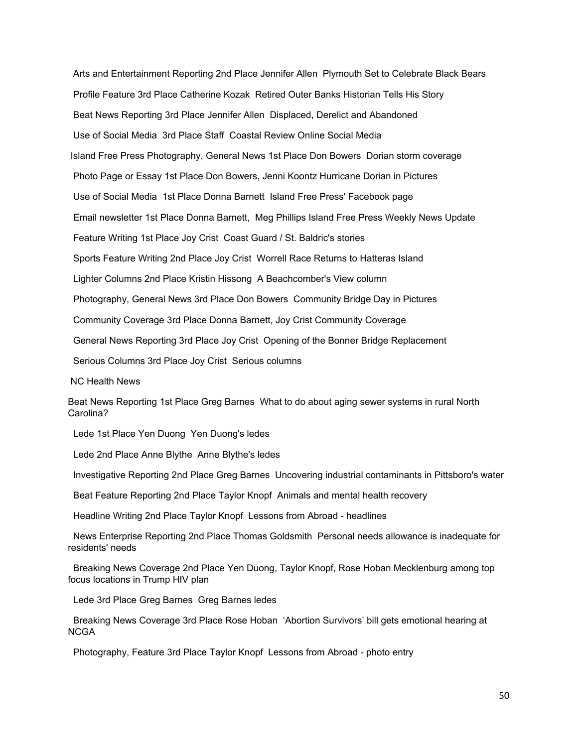Arts and Entertainment Reporting 2nd Place Jennifer Allen Plymouth Set to Celebrate Black Bears Profile Feature 3rd Place Catherine Kozak Retired Outer Banks Historian Tells His Story Beat News Reporting 3rd Place Jennifer Allen Displaced, Derelict and Abandoned Use of Social Media 3rd Place Staff Coastal Review Online Social Media Island Free Press Photography, General News 1st Place Don Bowers Dorian storm coverage Photo Page or Essay 1st Place Don Bowers, Jenni Koontz Hurricane Dorian in Pictures Use of Social Media 1st Place Donna Barnett Island Free Press' Facebook page Email newsletter 1st Place Donna Barnett, Meg Phillips Island Free Press Weekly News Update Feature Writing 1st Place Joy Crist Coast Guard / St. Baldric's stories Sports Feature Writing 2nd Place Joy Crist Worrell Race Returns to Hatteras Island Lighter Columns 2nd Place Kristin Hissong A Beachcomber's View column Photography, General News 3rd Place Don Bowers Community Bridge Day in Pictures Community Coverage 3rd Place Donna Barnett, Joy Crist Community Coverage General News Reporting 3rd Place Joy Crist Opening of the Bonner Bridge Replacement Serious Columns 3rd Place Joy Crist Serious columns NC Health News

Beat News Reporting 1st Place Greg Barnes What to do about aging sewer systems in rural North Carolina?

Lede 1st Place Yen Duong Yen Duong's ledes

Lede 2nd Place Anne Blythe Anne Blythe's ledes

Investigative Reporting 2nd Place Greg Barnes Uncovering industrial contaminants in Pittsboro's water

Beat Feature Reporting 2nd Place Taylor Knopf Animals and mental health recovery

Headline Writing 2nd Place Taylor Knopf Lessons from Abroad - headlines

News Enterprise Reporting 2nd Place Thomas Goldsmith Personal needs allowance is inadequate for residents' needs

Breaking News Coverage 2nd Place Yen Duong, Taylor Knopf, Rose Hoban Mecklenburg among top focus locations in Trump HIV plan

Lede 3rd Place Greg Barnes Greg Barnes ledes

Breaking News Coverage 3rd Place Rose Hoban 'Abortion Survivors' bill gets emotional hearing at **NCGA** 

Photography, Feature 3rd Place Taylor Knopf Lessons from Abroad - photo entry